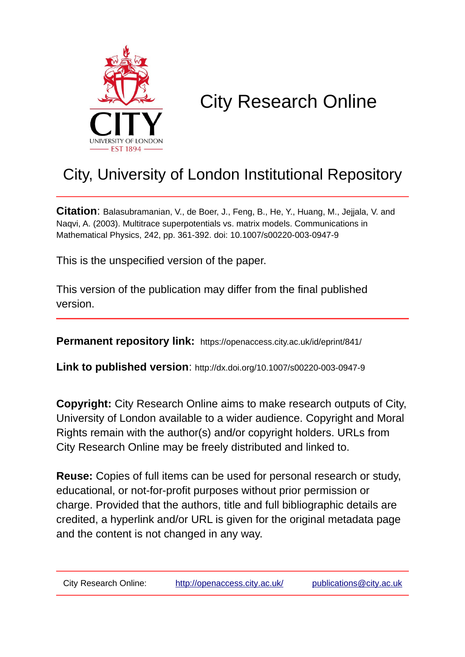

# City Research Online

## City, University of London Institutional Repository

**Citation**: Balasubramanian, V., de Boer, J., Feng, B., He, Y., Huang, M., Jejjala, V. and Naqvi, A. (2003). Multitrace superpotentials vs. matrix models. Communications in Mathematical Physics, 242, pp. 361-392. doi: 10.1007/s00220-003-0947-9

This is the unspecified version of the paper.

This version of the publication may differ from the final published version.

**Permanent repository link:** https://openaccess.city.ac.uk/id/eprint/841/

**Link to published version**: http://dx.doi.org/10.1007/s00220-003-0947-9

**Copyright:** City Research Online aims to make research outputs of City, University of London available to a wider audience. Copyright and Moral Rights remain with the author(s) and/or copyright holders. URLs from City Research Online may be freely distributed and linked to.

**Reuse:** Copies of full items can be used for personal research or study, educational, or not-for-profit purposes without prior permission or charge. Provided that the authors, title and full bibliographic details are credited, a hyperlink and/or URL is given for the original metadata page and the content is not changed in any way.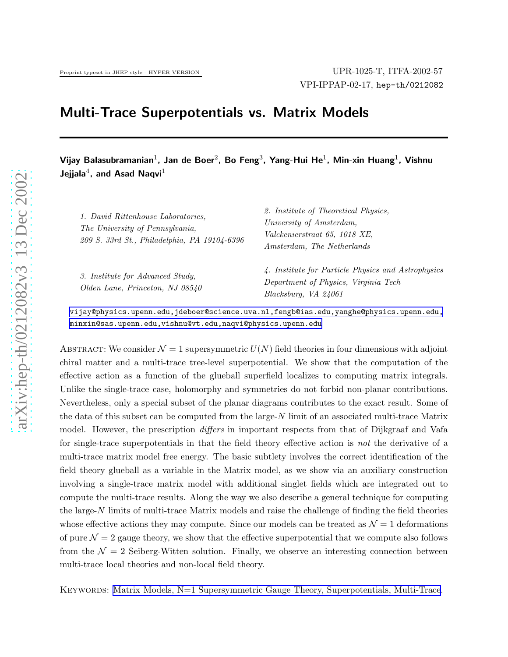## Multi-Trace Superpotentials vs. Matrix Models

Vijay Balasubramanian $^1$ , Jan de Boer $^2$ , Bo Feng $^3$ , Yang-Hui He $^1$ , Min-xin Huang $^1$ , Vishnu Jejjala $^4$ , and Asad Naqvi $^1$ 

| 1. David Rittenhouse Laboratories,<br>The University of Pennsylvania,<br>209 S. 33rd St., Philadelphia, PA 19104-6396 | 2. Institute of Theoretical Physics,<br>University of Amsterdam,<br>Valckenierstraat 65, 1018 XE,<br>Amsterdam, The Netherlands |
|-----------------------------------------------------------------------------------------------------------------------|---------------------------------------------------------------------------------------------------------------------------------|
| 3. Institute for Advanced Study.<br>Olden Lane, Princeton, NJ 08540                                                   | 4. Institute for Particle Physics and Astrophysics<br>Department of Physics, Virginia Tech<br>Blacksburg, VA 24061              |

[vijay@physics.upenn.edu,jdeboer@science.uva.nl,fengb@ias.edu,yanghe@physics.upenn.edu,](mailto:vijay@physics.upenn.edu,jdeboer@science.uva.nl,fengb@ias.edu,yanghe@physics.upenn.edu,) [minxin@sas.upenn.edu,vishnu@vt.edu,naqvi@physics.upenn.edu](mailto:minxin@sas.upenn.edu,vishnu@vt.edu,naqvi@physics.upenn.edu)

ABSTRACT: We consider  $\mathcal{N} = 1$  supersymmetric  $U(N)$  field theories in four dimensions with adjoint chiral matter and a multi-trace tree-level superpotential. We show that the computation of the effective action as a function of the glueball superfield localizes to computing matrix integrals. Unlike the single-trace case, holomorphy and symmetries do not forbid non-planar contributions. Nevertheless, only a special subset of the planar diagrams contributes to the exact result. Some of the data of this subset can be computed from the large-N limit of an associated multi-trace Matrix model. However, the prescription *differs* in important respects from that of Dijkgraaf and Vafa for single-trace superpotentials in that the field theory effective action is not the derivative of a multi-trace matrix model free energy. The basic subtlety involves the correct identification of the field theory glueball as a variable in the Matrix model, as we show via an auxiliary construction involving a single-trace matrix model with additional singlet fields which are integrated out to compute the multi-trace results. Along the way we also describe a general technique for computing the large- $N$  limits of multi-trace Matrix models and raise the challenge of finding the field theories whose effective actions they may compute. Since our models can be treated as  $\mathcal{N}=1$  deformations of pure  $\mathcal{N}=2$  gauge theory, we show that the effective superpotential that we compute also follows from the  $\mathcal{N}=2$  Seiberg-Witten solution. Finally, we observe an interesting connection between multi-trace local theories and non-local field theory.

KEYWORDS: [Matrix Models, N=1 Supersymmetric Gauge Theory, Superpotentials, Multi-Trace](http://jhep.sissa.it/stdsearch?keywords=Matrix_Models+N=1_Supersymmetric_Gauge_Theory+Superpotentials+Multi-Trace).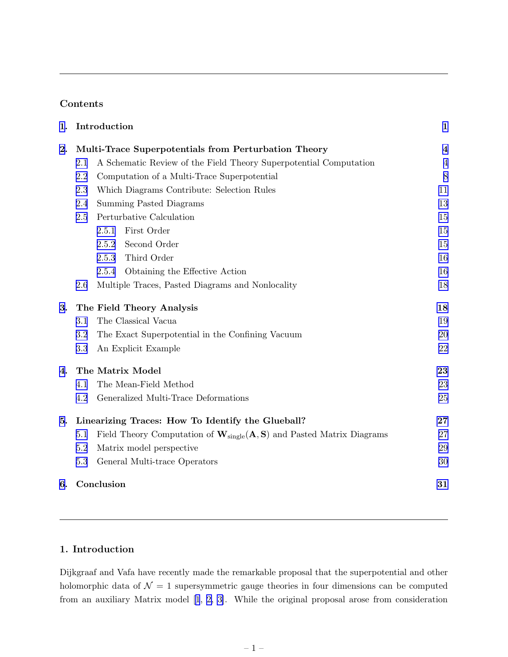### Contents

| 1. |                                                      | Introduction                                                                                         | $\mathbf{1}$   |  |  |  |  |
|----|------------------------------------------------------|------------------------------------------------------------------------------------------------------|----------------|--|--|--|--|
| 2. | Multi-Trace Superpotentials from Perturbation Theory |                                                                                                      |                |  |  |  |  |
|    | 2.1                                                  | A Schematic Review of the Field Theory Superpotential Computation                                    | $\overline{4}$ |  |  |  |  |
|    | 2.2                                                  | Computation of a Multi-Trace Superpotential                                                          | 8              |  |  |  |  |
|    | 2.3                                                  | Which Diagrams Contribute: Selection Rules                                                           | 11             |  |  |  |  |
|    | 2.4                                                  | Summing Pasted Diagrams                                                                              | 13             |  |  |  |  |
|    | 2.5                                                  | Perturbative Calculation                                                                             | 15             |  |  |  |  |
|    |                                                      | First Order<br>2.5.1                                                                                 | 15             |  |  |  |  |
|    |                                                      | Second Order<br>2.5.2                                                                                | 15             |  |  |  |  |
|    |                                                      | Third Order<br>2.5.3                                                                                 | 16             |  |  |  |  |
|    |                                                      | Obtaining the Effective Action<br>2.5.4                                                              | 16             |  |  |  |  |
|    | 2.6                                                  | Multiple Traces, Pasted Diagrams and Nonlocality                                                     | 18             |  |  |  |  |
| 3. |                                                      | The Field Theory Analysis                                                                            | 18             |  |  |  |  |
|    | 3.1                                                  | The Classical Vacua                                                                                  | 19             |  |  |  |  |
|    | 3.2                                                  | The Exact Superpotential in the Confining Vacuum                                                     | 20             |  |  |  |  |
|    | 3.3                                                  | An Explicit Example                                                                                  | 22             |  |  |  |  |
| 4. |                                                      | The Matrix Model                                                                                     | 23             |  |  |  |  |
|    | 4.1                                                  | The Mean-Field Method                                                                                | 23             |  |  |  |  |
|    | 4.2                                                  | Generalized Multi-Trace Deformations                                                                 | 25             |  |  |  |  |
| 5. | Linearizing Traces: How To Identify the Glueball?    |                                                                                                      |                |  |  |  |  |
|    | 5.1                                                  | Field Theory Computation of $\mathbf{W}_{single}(\mathbf{A}, \mathbf{S})$ and Pasted Matrix Diagrams | 27             |  |  |  |  |
|    | 5.2                                                  | Matrix model perspective                                                                             | 29             |  |  |  |  |
|    | 5.3                                                  | General Multi-trace Operators                                                                        | 30             |  |  |  |  |
| 6. |                                                      | Conclusion                                                                                           | 31             |  |  |  |  |

## 1. Introduction

Dijkgraaf and Vafa have recently made the remarkable proposal that the superpotential and other holomorphic data of  $\mathcal{N} = 1$  supersymmetric gauge theories in four dimensions can be computed from an auxiliary Matrix model[[1](#page-34-0), [2, 3](#page-34-0)]. While the original proposal arose from consideration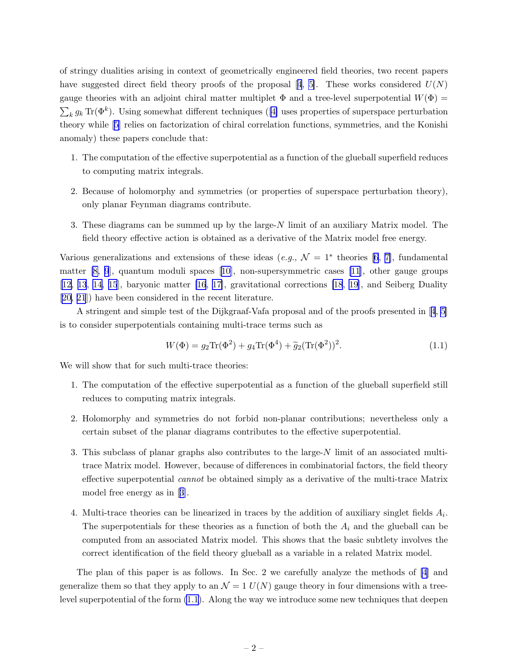<span id="page-3-0"></span>of stringy dualities arising in context of geometrically engineered field theories, two recent papers havesuggested direct field theory proofs of the proposal [[4](#page-34-0), [5\]](#page-34-0). These works considered  $U(N)$ gauge theories with an adjoint chiral matter multiplet  $\Phi$  and a tree-level superpotential  $W(\Phi)$  =  $\sum_k g_k \, \text{Tr}(\Phi^k)$ . Using somewhat different techniques ([\[4\]](#page-34-0) uses properties of superspace perturbation theory while[[5](#page-34-0)] relies on factorization of chiral correlation functions, symmetries, and the Konishi anomaly) these papers conclude that:

- 1. The computation of the effective superpotential as a function of the glueball superfield reduces to computing matrix integrals.
- 2. Because of holomorphy and symmetries (or properties of superspace perturbation theory), only planar Feynman diagrams contribute.
- 3. These diagrams can be summed up by the large-N limit of an auxiliary Matrix model. The field theory effective action is obtained as a derivative of the Matrix model free energy.

Variousgeneralizations and extensions of these ideas  $(e.g., \mathcal{N}=1^*$  theories [[6](#page-34-0), [7\]](#page-34-0), fundamental matter [\[8, 9](#page-34-0)], quantum moduli spaces [\[10\]](#page-34-0), non-supersymmetric cases [\[11](#page-34-0)], other gauge groups [\[12, 13](#page-34-0), [14](#page-34-0), [15](#page-34-0)], baryonic matter [\[16](#page-34-0), [17](#page-34-0)], gravitational corrections [\[18](#page-34-0), [19\]](#page-35-0), and Seiberg Duality [\[20, 21](#page-35-0)]) have been considered in the recent literature.

A stringent and simple test of the Dijkgraaf-Vafa proposal and of the proofs presented in[[4](#page-34-0), [5](#page-34-0)] is to consider superpotentials containing multi-trace terms such as

$$
W(\Phi) = g_2 \text{Tr}(\Phi^2) + g_4 \text{Tr}(\Phi^4) + \tilde{g}_2 (\text{Tr}(\Phi^2))^2.
$$
 (1.1)

We will show that for such multi-trace theories:

- 1. The computation of the effective superpotential as a function of the glueball superfield still reduces to computing matrix integrals.
- 2. Holomorphy and symmetries do not forbid non-planar contributions; nevertheless only a certain subset of the planar diagrams contributes to the effective superpotential.
- 3. This subclass of planar graphs also contributes to the large-N limit of an associated multitrace Matrix model. However, because of differences in combinatorial factors, the field theory effective superpotential cannot be obtained simply as a derivative of the multi-trace Matrix model free energy as in[[3](#page-34-0)].
- 4. Multi-trace theories can be linearized in traces by the addition of auxiliary singlet fields  $A_i$ . The superpotentials for these theories as a function of both the  $A_i$  and the glueball can be computed from an associated Matrix model. This shows that the basic subtlety involves the correct identification of the field theory glueball as a variable in a related Matrix model.

The plan of this paper is as follows. In Sec. 2 we carefully analyze the methods of [\[4\]](#page-34-0) and generalize them so that they apply to an  $\mathcal{N} = 1$   $U(N)$  gauge theory in four dimensions with a treelevel superpotential of the form (1.1). Along the way we introduce some new techniques that deepen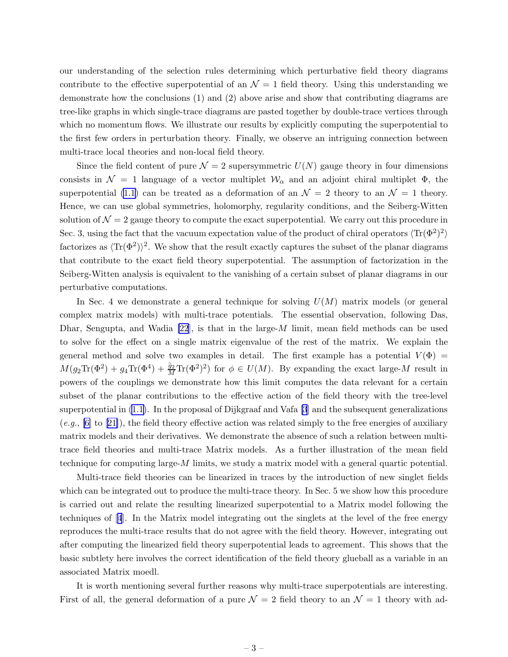our understanding of the selection rules determining which perturbative field theory diagrams contribute to the effective superpotential of an  $\mathcal{N} = 1$  field theory. Using this understanding we demonstrate how the conclusions (1) and (2) above arise and show that contributing diagrams are tree-like graphs in which single-trace diagrams are pasted together by double-trace vertices through which no momentum flows. We illustrate our results by explicitly computing the superpotential to the first few orders in perturbation theory. Finally, we observe an intriguing connection between multi-trace local theories and non-local field theory.

Since the field content of pure  $\mathcal{N} = 2$  supersymmetric  $U(N)$  gauge theory in four dimensions consists in  $\mathcal{N} = 1$  language of a vector multiplet  $\mathcal{W}_{\alpha}$  and an adjoint chiral multiplet  $\Phi$ , the superpotential [\(1.1\)](#page-3-0) can be treated as a deformation of an  $\mathcal{N}=2$  theory to an  $\mathcal{N}=1$  theory. Hence, we can use global symmetries, holomorphy, regularity conditions, and the Seiberg-Witten solution of  $\mathcal{N} = 2$  gauge theory to compute the exact superpotential. We carry out this procedure in Sec. 3, using the fact that the vacuum expectation value of the product of chiral operators  $\langle Tr(\Phi^2)^2 \rangle$ factorizes as  $\langle Tr(\Phi^2) \rangle^2$ . We show that the result exactly captures the subset of the planar diagrams that contribute to the exact field theory superpotential. The assumption of factorization in the Seiberg-Witten analysis is equivalent to the vanishing of a certain subset of planar diagrams in our perturbative computations.

In Sec. 4 we demonstrate a general technique for solving  $U(M)$  matrix models (or general complex matrix models) with multi-trace potentials. The essential observation, following Das, Dhar, Sengupta, and Wadia [\[22](#page-35-0)], is that in the large-M limit, mean field methods can be used to solve for the effect on a single matrix eigenvalue of the rest of the matrix. We explain the general method and solve two examples in detail. The first example has a potential  $V(\Phi)$  =  $M(g_2 \text{Tr}(\Phi^2) + g_4 \text{Tr}(\Phi^4) + \frac{\tilde{g}_2}{M} \text{Tr}(\Phi^2)^2)$  for  $\phi \in U(M)$ . By expanding the exact large-M result in powers of the couplings we demonstrate how this limit computes the data relevant for a certain subset of the planar contributions to the effective action of the field theory with the tree-level superpotential in [\(1.1\)](#page-3-0). In the proposal of Dijkgraaf and Vafa [\[3](#page-34-0)] and the subsequent generalizations  $(e.g., [6]$  $(e.g., [6]$ to [[21\]](#page-35-0)), the field theory effective action was related simply to the free energies of auxiliary matrix models and their derivatives. We demonstrate the absence of such a relation between multitrace field theories and multi-trace Matrix models. As a further illustration of the mean field technique for computing large- $M$  limits, we study a matrix model with a general quartic potential.

Multi-trace field theories can be linearized in traces by the introduction of new singlet fields which can be integrated out to produce the multi-trace theory. In Sec. 5 we show how this procedure is carried out and relate the resulting linearized superpotential to a Matrix model following the techniques of[[4](#page-34-0)]. In the Matrix model integrating out the singlets at the level of the free energy reproduces the multi-trace results that do not agree with the field theory. However, integrating out after computing the linearized field theory superpotential leads to agreement. This shows that the basic subtlety here involves the correct identification of the field theory glueball as a variable in an associated Matrix moedl.

It is worth mentioning several further reasons why multi-trace superpotentials are interesting. First of all, the general deformation of a pure  $\mathcal{N} = 2$  field theory to an  $\mathcal{N} = 1$  theory with ad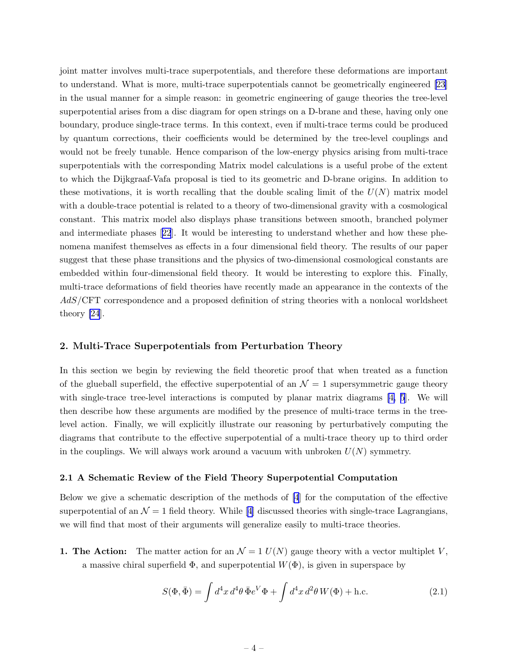<span id="page-5-0"></span>joint matter involves multi-trace superpotentials, and therefore these deformations are important to understand. What is more, multi-trace superpotentials cannot be geometrically engineered [\[23](#page-35-0)] in the usual manner for a simple reason: in geometric engineering of gauge theories the tree-level superpotential arises from a disc diagram for open strings on a D-brane and these, having only one boundary, produce single-trace terms. In this context, even if multi-trace terms could be produced by quantum corrections, their coefficients would be determined by the tree-level couplings and would not be freely tunable. Hence comparison of the low-energy physics arising from multi-trace superpotentials with the corresponding Matrix model calculations is a useful probe of the extent to which the Dijkgraaf-Vafa proposal is tied to its geometric and D-brane origins. In addition to these motivations, it is worth recalling that the double scaling limit of the  $U(N)$  matrix model with a double-trace potential is related to a theory of two-dimensional gravity with a cosmological constant. This matrix model also displays phase transitions between smooth, branched polymer and intermediate phases[[22](#page-35-0)]. It would be interesting to understand whether and how these phenomena manifest themselves as effects in a four dimensional field theory. The results of our paper suggest that these phase transitions and the physics of two-dimensional cosmological constants are embedded within four-dimensional field theory. It would be interesting to explore this. Finally, multi-trace deformations of field theories have recently made an appearance in the contexts of the AdS/CFT correspondence and a proposed definition of string theories with a nonlocal worldsheet theory [\[24](#page-35-0)].

#### 2. Multi-Trace Superpotentials from Perturbation Theory

In this section we begin by reviewing the field theoretic proof that when treated as a function of the glueball superfield, the effective superpotential of an  $\mathcal{N}=1$  supersymmetric gauge theory with single-trace tree-level interactions is computed by planar matrix diagrams [\[4, 5](#page-34-0)]. We will then describe how these arguments are modified by the presence of multi-trace terms in the treelevel action. Finally, we will explicitly illustrate our reasoning by perturbatively computing the diagrams that contribute to the effective superpotential of a multi-trace theory up to third order in the couplings. We will always work around a vacuum with unbroken  $U(N)$  symmetry.

#### 2.1 A Schematic Review of the Field Theory Superpotential Computation

Below we give a schematic description of the methods of [\[4](#page-34-0)] for the computation of the effective superpotentialof an  $\mathcal{N} = 1$  field theory. While [[4](#page-34-0)] discussed theories with single-trace Lagrangians, we will find that most of their arguments will generalize easily to multi-trace theories.

1. The Action: The matter action for an  $\mathcal{N} = 1$  U(N) gauge theory with a vector multiplet V, a massive chiral superfield  $\Phi$ , and superpotential  $W(\Phi)$ , is given in superspace by

$$
S(\Phi, \bar{\Phi}) = \int d^4x \, d^4\theta \, \bar{\Phi} e^V \Phi + \int d^4x \, d^2\theta \, W(\Phi) + \text{h.c.}
$$
 (2.1)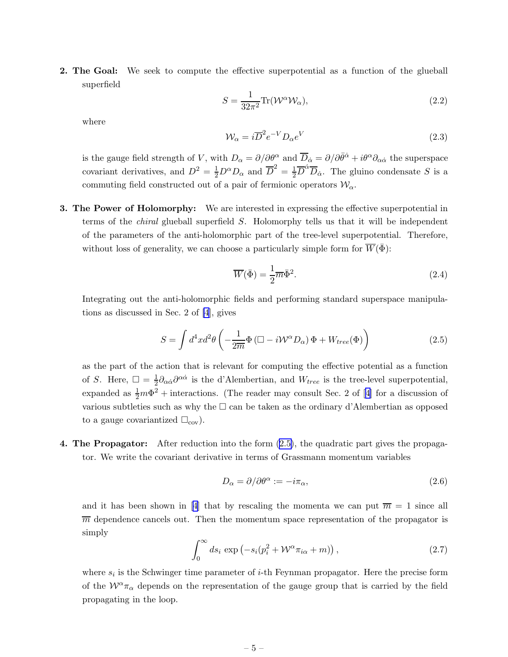<span id="page-6-0"></span>2. The Goal: We seek to compute the effective superpotential as a function of the glueball superfield

$$
S = \frac{1}{32\pi^2} \text{Tr}(\mathcal{W}^\alpha \mathcal{W}_\alpha),\tag{2.2}
$$

where

$$
\mathcal{W}_{\alpha} = i\overline{D}^2 e^{-V} D_{\alpha} e^V \tag{2.3}
$$

is the gauge field strength of V, with  $D_{\alpha} = \partial/\partial \theta^{\alpha}$  and  $\overline{D}_{\dot{\alpha}} = \partial/\partial \overline{\theta}^{\dot{\alpha}} + i\theta^{\alpha}\partial_{\alpha\dot{\alpha}}$  the superspace covariant derivatives, and  $D^2 = \frac{1}{2}D^{\alpha}D_{\alpha}$  and  $\overline{D}^2 = \frac{1}{2}\overline{D}^{\dot{\alpha}}\overline{D}_{\dot{\alpha}}$ . The gluino condensate S is a commuting field constructed out of a pair of fermionic operators  $\mathcal{W}_{\alpha}$ .

**3. The Power of Holomorphy:** We are interested in expressing the effective superpotential in terms of the chiral glueball superfield S. Holomorphy tells us that it will be independent of the parameters of the anti-holomorphic part of the tree-level superpotential. Therefore, without loss of generality, we can choose a particularly simple form for  $\overline{W}(\overline{\Phi})$ :

$$
\overline{W}(\bar{\Phi}) = \frac{1}{2}\overline{m}\bar{\Phi}^2. \tag{2.4}
$$

Integrating out the anti-holomorphic fields and performing standard superspace manipulations as discussed in Sec. 2 of [\[4](#page-34-0)], gives

$$
S = \int d^4x d^2\theta \left( -\frac{1}{2\overline{m}} \Phi \left( \Box - i \mathcal{W}^\alpha D_\alpha \right) \Phi + W_{tree}(\Phi) \right) \tag{2.5}
$$

as the part of the action that is relevant for computing the effective potential as a function of S. Here,  $\Box = \frac{1}{2}$  $\frac{1}{2}\partial_{\alpha\dot{\alpha}}\partial^{\alpha\dot{\alpha}}$  is the d'Alembertian, and  $W_{tree}$  is the tree-level superpotential, expandedas  $\frac{1}{2}m\Phi^2$  + interactions. (The reader may consult Sec. 2 of [[4](#page-34-0)] for a discussion of various subtleties such as why the  $\Box$  can be taken as the ordinary d'Alembertian as opposed to a gauge covariantized  $\square_{\text{cov}}$ .

4. The Propagator: After reduction into the form (2.5), the quadratic part gives the propagator. We write the covariant derivative in terms of Grassmann momentum variables

$$
D_{\alpha} = \partial/\partial \theta^{\alpha} := -i\pi_{\alpha},\tag{2.6}
$$

andit has been shown in [[4](#page-34-0)] that by rescaling the momenta we can put  $\overline{m} = 1$  since all  $\overline{m}$  dependence cancels out. Then the momentum space representation of the propagator is simply

$$
\int_0^\infty ds_i \, \exp\left(-s_i(p_i^2 + \mathcal{W}^\alpha \pi_{i\alpha} + m)\right),\tag{2.7}
$$

where  $s_i$  is the Schwinger time parameter of *i*-th Feynman propagator. Here the precise form of the  $W^{\alpha}\pi_{\alpha}$  depends on the representation of the gauge group that is carried by the field propagating in the loop.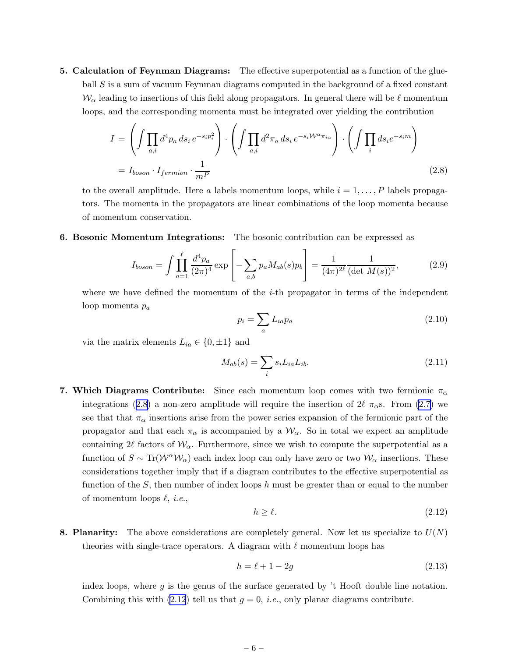<span id="page-7-0"></span>5. Calculation of Feynman Diagrams: The effective superpotential as a function of the glueball S is a sum of vacuum Feynman diagrams computed in the background of a fixed constant  $\mathcal{W}_{\alpha}$  leading to insertions of this field along propagators. In general there will be  $\ell$  momentum loops, and the corresponding momenta must be integrated over yielding the contribution

$$
I = \left( \int \prod_{a,i} d^4 p_a \, ds_i \, e^{-s_i p_i^2} \right) \cdot \left( \int \prod_{a,i} d^2 \pi_a \, ds_i \, e^{-s_i \mathcal{W}^\alpha \pi_{i\alpha}} \right) \cdot \left( \int \prod_i ds_i e^{-s_i m} \right)
$$
  
=  $I_{boson} \cdot I_{fermion} \cdot \frac{1}{m^P}$  (2.8)

to the overall amplitude. Here a labels momentum loops, while  $i = 1, \ldots, P$  labels propagators. The momenta in the propagators are linear combinations of the loop momenta because of momentum conservation.

6. Bosonic Momentum Integrations: The bosonic contribution can be expressed as

$$
I_{boson} = \int \prod_{a=1}^{\ell} \frac{d^4 p_a}{(2\pi)^4} \exp\left[-\sum_{a,b} p_a M_{ab}(s) p_b\right] = \frac{1}{(4\pi)^{2\ell}} \frac{1}{(\det M(s))^2},\tag{2.9}
$$

where we have defined the momentum of the  $i$ -th propagator in terms of the independent loop momenta  $p_a$ 

$$
p_i = \sum_a L_{ia} p_a \tag{2.10}
$$

via the matrix elements  $L_{ia} \in \{0, \pm 1\}$  and

$$
M_{ab}(s) = \sum_{i} s_i L_{ia} L_{ib}.\tag{2.11}
$$

7. Which Diagrams Contribute: Since each momentum loop comes with two fermionic  $\pi_{\alpha}$ integrations (2.8) a non-zero amplitude will require the insertion of  $2\ell \pi_\alpha s$ . From [\(2.7\)](#page-6-0) we see that that  $\pi_{\alpha}$  insertions arise from the power series expansion of the fermionic part of the propagator and that each  $\pi_{\alpha}$  is accompanied by a  $\mathcal{W}_{\alpha}$ . So in total we expect an amplitude containing 2 $\ell$  factors of  $\mathcal{W}_{\alpha}$ . Furthermore, since we wish to compute the superpotential as a function of  $S \sim \text{Tr}(\mathcal{W}^{\alpha} \mathcal{W}_{\alpha})$  each index loop can only have zero or two  $\mathcal{W}_{\alpha}$  insertions. These considerations together imply that if a diagram contributes to the effective superpotential as function of the  $S$ , then number of index loops h must be greater than or equal to the number of momentum loops  $\ell$ , *i.e.*,

$$
h \ge \ell. \tag{2.12}
$$

8. Planarity: The above considerations are completely general. Now let us specialize to  $U(N)$ theories with single-trace operators. A diagram with  $\ell$  momentum loops has

$$
h = \ell + 1 - 2g \tag{2.13}
$$

index loops, where  $q$  is the genus of the surface generated by  $\ddot{\,}$  Hooft double line notation. Combining this with (2.12) tell us that  $g = 0$ , *i.e.*, only planar diagrams contribute.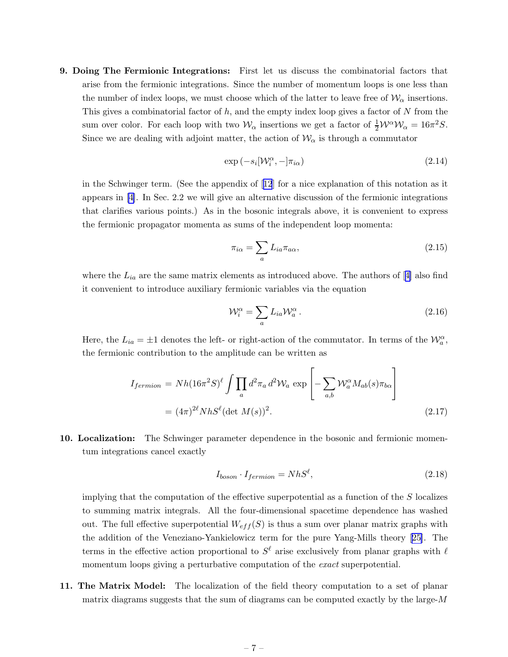<span id="page-8-0"></span>9. Doing The Fermionic Integrations: First let us discuss the combinatorial factors that arise from the fermionic integrations. Since the number of momentum loops is one less than the number of index loops, we must choose which of the latter to leave free of  $\mathcal{W}_{\alpha}$  insertions. This gives a combinatorial factor of  $h$ , and the empty index loop gives a factor of  $N$  from the sum over color. For each loop with two  $\mathcal{W}_{\alpha}$  insertions we get a factor of  $\frac{1}{2} \mathcal{W}^{\alpha} \mathcal{W}_{\alpha} = 16\pi^2 S$ . Since we are dealing with adjoint matter, the action of  $\mathcal{W}_{\alpha}$  is through a commutator

$$
\exp(-s_i[\mathcal{W}_i^{\alpha}, -]\pi_{i\alpha})\tag{2.14}
$$

in the Schwinger term. (See the appendix of[[12](#page-34-0)] for a nice explanation of this notation as it appears in [\[4\]](#page-34-0). In Sec. 2.2 we will give an alternative discussion of the fermionic integrations that clarifies various points.) As in the bosonic integrals above, it is convenient to express the fermionic propagator momenta as sums of the independent loop momenta:

$$
\pi_{i\alpha} = \sum_{a} L_{ia} \pi_{a\alpha},\tag{2.15}
$$

wherethe  $L_{ia}$  are the same matrix elements as introduced above. The authors of [[4](#page-34-0)] also find it convenient to introduce auxiliary fermionic variables via the equation

$$
\mathcal{W}_i^{\alpha} = \sum_a L_{ia} \mathcal{W}_a^{\alpha} \,. \tag{2.16}
$$

Here, the  $L_{ia} = \pm 1$  denotes the left- or right-action of the commutator. In terms of the  $\mathcal{W}_a^{\alpha}$ , the fermionic contribution to the amplitude can be written as

$$
I_{fermion} = Nh(16\pi^2S)^{\ell}\int \prod_a d^2\pi_a d^2\mathcal{W}_a \exp\left[-\sum_{a,b} \mathcal{W}_a^{\alpha} M_{ab}(s)\pi_{b\alpha}\right]
$$

$$
= (4\pi)^{2\ell} NhS^{\ell}(\det M(s))^2.
$$
(2.17)

10. Localization: The Schwinger parameter dependence in the bosonic and fermionic momentum integrations cancel exactly

$$
I_{boson} \cdot I_{fermion} = NhS^{\ell},\tag{2.18}
$$

implying that the computation of the effective superpotential as a function of the S localizes to summing matrix integrals. All the four-dimensional spacetime dependence has washed out. The full effective superpotential  $W_{eff}(S)$  is thus a sum over planar matrix graphs with the addition of the Veneziano-Yankielowicz term for the pure Yang-Mills theory[[25\]](#page-35-0). The terms in the effective action proportional to  $S^{\ell}$  arise exclusively from planar graphs with  $\ell$ momentum loops giving a perturbative computation of the *exact* superpotential.

11. The Matrix Model: The localization of the field theory computation to a set of planar matrix diagrams suggests that the sum of diagrams can be computed exactly by the large- $M$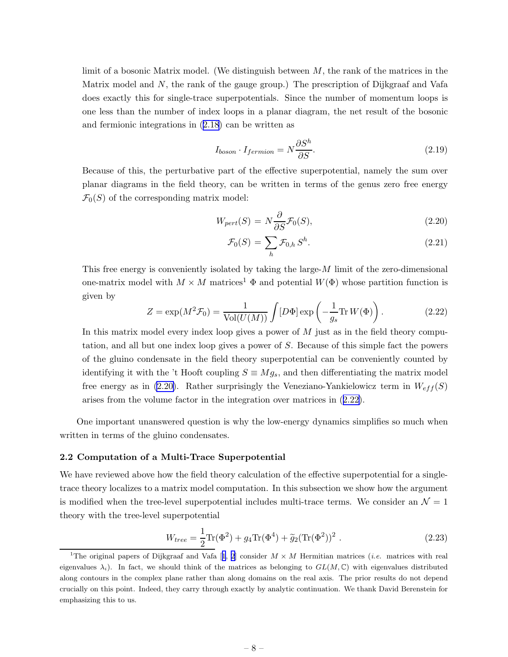<span id="page-9-0"></span>limit of a bosonic Matrix model. (We distinguish between  $M$ , the rank of the matrices in the Matrix model and  $N$ , the rank of the gauge group.) The prescription of Dijkgraaf and Vafa does exactly this for single-trace superpotentials. Since the number of momentum loops is one less than the number of index loops in a planar diagram, the net result of the bosonic and fermionic integrations in ([2.18](#page-8-0)) can be written as

$$
I_{boson} \cdot I_{fermion} = N \frac{\partial S^h}{\partial S}.
$$
\n(2.19)

Because of this, the perturbative part of the effective superpotential, namely the sum over planar diagrams in the field theory, can be written in terms of the genus zero free energy  $\mathcal{F}_0(S)$  of the corresponding matrix model:

$$
W_{pert}(S) = N \frac{\partial}{\partial S} \mathcal{F}_0(S), \qquad (2.20)
$$

$$
\mathcal{F}_0(S) = \sum_h \mathcal{F}_{0,h} S^h. \tag{2.21}
$$

This free energy is conveniently isolated by taking the large- $M$  limit of the zero-dimensional one-matrix model with  $M \times M$  matrices<sup>1</sup>  $\Phi$  and potential  $W(\Phi)$  whose partition function is given by

$$
Z = \exp(M^2 \mathcal{F}_0) = \frac{1}{\text{Vol}(U(M))} \int [D\Phi] \exp\left(-\frac{1}{g_s} \text{Tr} W(\Phi)\right). \tag{2.22}
$$

In this matrix model every index loop gives a power of  $M$  just as in the field theory computation, and all but one index loop gives a power of S. Because of this simple fact the powers of the gluino condensate in the field theory superpotential can be conveniently counted by identifying it with the 't Hooft coupling  $S \equiv Mg_s$ , and then differentiating the matrix model free energy as in (2.20). Rather surprisingly the Veneziano-Yankielowicz term in  $W_{eff}(S)$ arises from the volume factor in the integration over matrices in (2.22).

One important unanswered question is why the low-energy dynamics simplifies so much when written in terms of the gluino condensates.

#### 2.2 Computation of a Multi-Trace Superpotential

We have reviewed above how the field theory calculation of the effective superpotential for a singletrace theory localizes to a matrix model computation. In this subsection we show how the argument is modified when the tree-level superpotential includes multi-trace terms. We consider an  $\mathcal{N} = 1$ theory with the tree-level superpotential

$$
W_{tree} = \frac{1}{2} \text{Tr}(\Phi^2) + g_4 \text{Tr}(\Phi^4) + \tilde{g}_2 (\text{Tr}(\Phi^2))^2.
$$
 (2.23)

<sup>&</sup>lt;sup>1</sup>Theoriginal papers of Dijkgraaf and Vafa [[1](#page-34-0), [2](#page-34-0)] consider  $M \times M$  Hermitian matrices (*i.e.* matrices with real eigenvalues  $\lambda_i$ ). In fact, we should think of the matrices as belonging to  $GL(M,\mathbb{C})$  with eigenvalues distributed along contours in the complex plane rather than along domains on the real axis. The prior results do not depend crucially on this point. Indeed, they carry through exactly by analytic continuation. We thank David Berenstein for emphasizing this to us.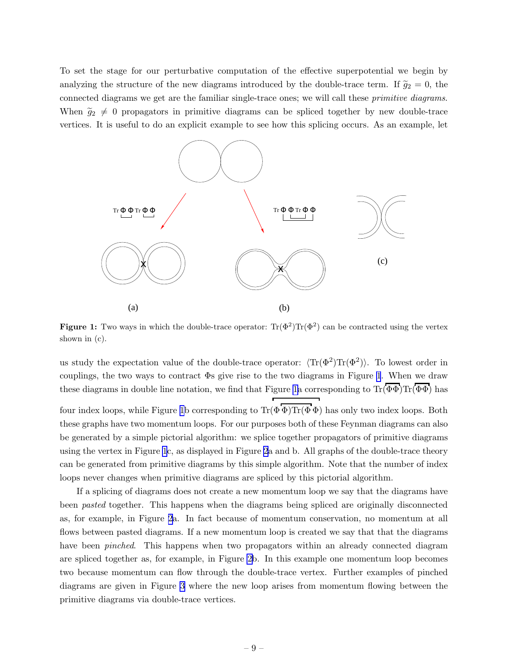To set the stage for our perturbative computation of the effective superpotential we begin by analyzing the structure of the new diagrams introduced by the double-trace term. If  $\tilde{g}_2 = 0$ , the connected diagrams we get are the familiar single-trace ones; we will call these primitive diagrams. When  $\tilde{g}_2 \neq 0$  propagators in primitive diagrams can be spliced together by new double-trace vertices. It is useful to do an explicit example to see how this splicing occurs. As an example, let



Figure 1: Two ways in which the double-trace operator:  $\text{Tr}(\Phi^2) \text{Tr}(\Phi^2)$  can be contracted using the vertex shown in (c).

us study the expectation value of the double-trace operator:  $\langle Tr(\Phi^2)Tr(\Phi^2) \rangle$ . To lowest order in couplings, the two ways to contract Φs give rise to the two diagrams in Figure 1. When we draw these diagrams in double line notation, we find that Figure 1a corresponding to  $\text{Tr}(\overline{\Phi\Phi})\text{Tr}(\overline{\Phi\Phi})$  has four index loops, while Figure 1b corresponding to  $Tr(\Phi \Phi)Tr(\Phi \Phi)$  has only two index loops. Both these graphs have two momentum loops. For our purposes both of these Feynman diagrams can also be generated by a simple pictorial algorithm: we splice together propagators of primitive diagrams

using the vertex in Figure 1c, as displayed in Figure [2](#page-11-0)a and b. All graphs of the double-trace theory can be generated from primitive diagrams by this simple algorithm. Note that the number of index loops never changes when primitive diagrams are spliced by this pictorial algorithm.

If a splicing of diagrams does not create a new momentum loop we say that the diagrams have been pasted together. This happens when the diagrams being spliced are originally disconnected as, for example, in Figure [2](#page-11-0)a. In fact because of momentum conservation, no momentum at all flows between pasted diagrams. If a new momentum loop is created we say that that the diagrams have been *pinched*. This happens when two propagators within an already connected diagram are spliced together as, for example, in Figure [2b](#page-11-0). In this example one momentum loop becomes two because momentum can flow through the double-trace vertex. Further examples of pinched diagrams are given in Figure [3](#page-11-0) where the new loop arises from momentum flowing between the primitive diagrams via double-trace vertices.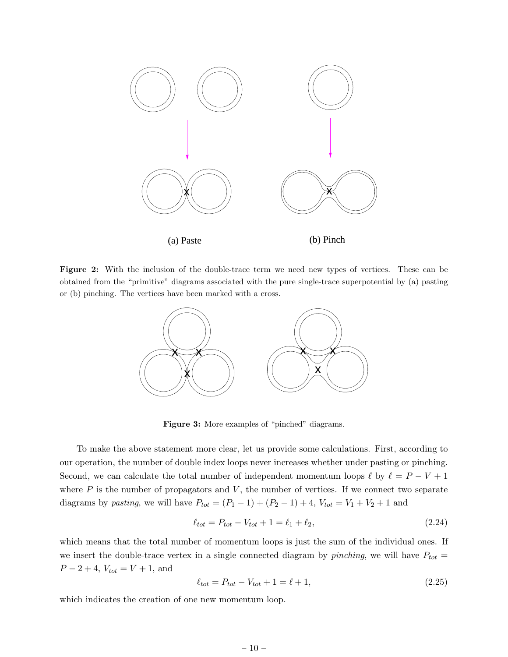<span id="page-11-0"></span>

Figure 2: With the inclusion of the double-trace term we need new types of vertices. These can be obtained from the "primitive" diagrams associated with the pure single-trace superpotential by (a) pasting or (b) pinching. The vertices have been marked with a cross.



Figure 3: More examples of "pinched" diagrams.

To make the above statement more clear, let us provide some calculations. First, according to our operation, the number of double index loops never increases whether under pasting or pinching. Second, we can calculate the total number of independent momentum loops  $\ell$  by  $\ell = P - V + 1$ where  $P$  is the number of propagators and  $V$ , the number of vertices. If we connect two separate diagrams by *pasting*, we will have  $P_{tot} = (P_1 - 1) + (P_2 - 1) + 4$ ,  $V_{tot} = V_1 + V_2 + 1$  and

$$
\ell_{tot} = P_{tot} - V_{tot} + 1 = \ell_1 + \ell_2,\tag{2.24}
$$

which means that the total number of momentum loops is just the sum of the individual ones. If we insert the double-trace vertex in a single connected diagram by *pinching*, we will have  $P_{tot} =$  $P-2+4$ ,  $V_{tot} = V + 1$ , and

$$
\ell_{tot} = P_{tot} - V_{tot} + 1 = \ell + 1,\tag{2.25}
$$

which indicates the creation of one new momentum loop.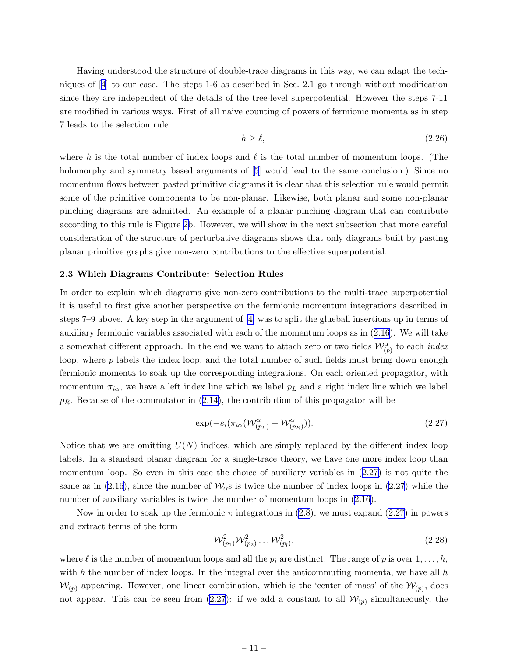<span id="page-12-0"></span>Having understood the structure of double-trace diagrams in this way, we can adapt the techniques of [\[4](#page-34-0)] to our case. The steps 1-6 as described in Sec. 2.1 go through without modification since they are independent of the details of the tree-level superpotential. However the steps 7-11 are modified in various ways. First of all naive counting of powers of fermionic momenta as in step 7 leads to the selection rule

$$
h \ge \ell,\tag{2.26}
$$

where h is the total number of index loops and  $\ell$  is the total number of momentum loops. (The holomorphyand symmetry based arguments of [[5](#page-34-0)] would lead to the same conclusion.) Since no momentum flows between pasted primitive diagrams it is clear that this selection rule would permit some of the primitive components to be non-planar. Likewise, both planar and some non-planar pinching diagrams are admitted. An example of a planar pinching diagram that can contribute according to this rule is Figure [2b](#page-11-0). However, we will show in the next subsection that more careful consideration of the structure of perturbative diagrams shows that only diagrams built by pasting planar primitive graphs give non-zero contributions to the effective superpotential.

#### 2.3 Which Diagrams Contribute: Selection Rules

In order to explain which diagrams give non-zero contributions to the multi-trace superpotential it is useful to first give another perspective on the fermionic momentum integrations described in steps 7–9 above. A key step in the argument of [\[4\]](#page-34-0) was to split the glueball insertions up in terms of auxiliary fermionic variables associated with each of the momentum loops as in ([2.16\)](#page-8-0). We will take a somewhat different approach. In the end we want to attach zero or two fields  $\mathcal{W}_{(p)}^{\alpha}$  to each *index* loop, where  $p$  labels the index loop, and the total number of such fields must bring down enough fermionic momenta to soak up the corresponding integrations. On each oriented propagator, with momentum  $\pi_{i\alpha}$ , we have a left index line which we label  $p<sub>L</sub>$  and a right index line which we label  $p_R$ . Because of the commutator in  $(2.14)$  $(2.14)$ , the contribution of this propagator will be

$$
\exp(-s_i(\pi_{i\alpha}(\mathcal{W}_{(p_L)}^{\alpha} - \mathcal{W}_{(p_R)}^{\alpha}))).
$$
\n(2.27)

Notice that we are omitting  $U(N)$  indices, which are simply replaced by the different index loop labels. In a standard planar diagram for a single-trace theory, we have one more index loop than momentum loop. So even in this case the choice of auxiliary variables in (2.27) is not quite the same as in ([2.16](#page-8-0)), since the number of  $\mathcal{W}_{\alpha}$ s is twice the number of index loops in (2.27) while the number of auxiliary variables is twice the number of momentum loops in [\(2.16\)](#page-8-0).

Now in order to soak up the fermionic  $\pi$  integrations in [\(2.8](#page-7-0)), we must expand (2.27) in powers and extract terms of the form

$$
\mathcal{W}_{(p_1)}^2 \mathcal{W}_{(p_2)}^2 \dots \mathcal{W}_{(p_l)}^2,\tag{2.28}
$$

where  $\ell$  is the number of momentum loops and all the  $p_i$  are distinct. The range of p is over  $1, \ldots, h$ , with  $h$  the number of index loops. In the integral over the anticommuting momenta, we have all  $h$  $\mathcal{W}_{(p)}$  appearing. However, one linear combination, which is the 'center of mass' of the  $\mathcal{W}_{(p)}$ , does not appear. This can be seen from  $(2.27)$ : if we add a constant to all  $\mathcal{W}_{(p)}$  simultaneously, the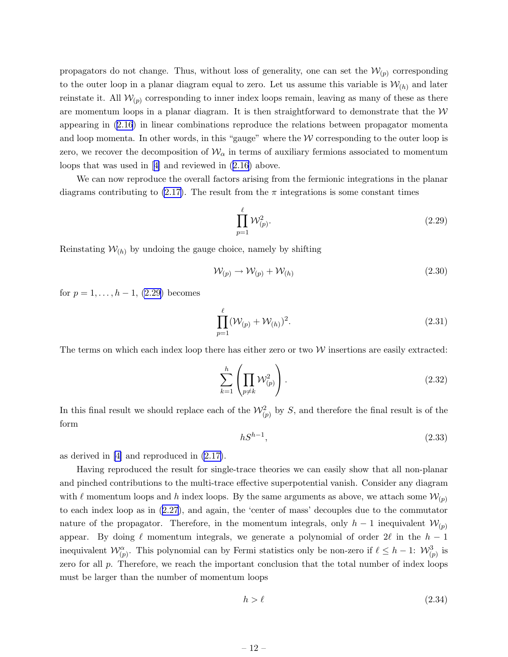propagators do not change. Thus, without loss of generality, one can set the  $\mathcal{W}_{(p)}$  corresponding to the outer loop in a planar diagram equal to zero. Let us assume this variable is  $W_{(h)}$  and later reinstate it. All  $W_{(p)}$  corresponding to inner index loops remain, leaving as many of these as there are momentum loops in a planar diagram. It is then straightforward to demonstrate that the  $W$ appearing in [\(2.16](#page-8-0)) in linear combinations reproduce the relations between propagator momenta and loop momenta. In other words, in this "gauge" where the  $W$  corresponding to the outer loop is zero, we recover the decomposition of  $W_{\alpha}$  in terms of auxiliary fermions associated to momentum loops that was used in[[4\]](#page-34-0) and reviewed in ([2.16\)](#page-8-0) above.

We can now reproduce the overall factors arising from the fermionic integrations in the planar diagrams contributing to [\(2.17\)](#page-8-0). The result from the  $\pi$  integrations is some constant times

$$
\prod_{p=1}^{\ell} \mathcal{W}_{(p)}^2.
$$
\n
$$
(2.29)
$$

Reinstating  $W_{(h)}$  by undoing the gauge choice, namely by shifting

$$
\mathcal{W}_{(p)} \to \mathcal{W}_{(p)} + \mathcal{W}_{(h)} \tag{2.30}
$$

for  $p = 1, ..., h - 1, (2.29)$  becomes

$$
\prod_{p=1}^{\ell} (\mathcal{W}_{(p)} + \mathcal{W}_{(h)})^2.
$$
\n(2.31)

The terms on which each index loop there has either zero or two  $W$  insertions are easily extracted:

$$
\sum_{k=1}^{h} \left( \prod_{p \neq k} \mathcal{W}_{(p)}^2 \right).
$$
\n(2.32)

In this final result we should replace each of the  $\mathcal{W}^2_{(p)}$  by S, and therefore the final result is of the form

$$
hS^{h-1},\tag{2.33}
$$

as derived in [\[4\]](#page-34-0) and reproduced in [\(2.17\)](#page-8-0).

Having reproduced the result for single-trace theories we can easily show that all non-planar and pinched contributions to the multi-trace effective superpotential vanish. Consider any diagram with  $\ell$  momentum loops and h index loops. By the same arguments as above, we attach some  $\mathcal{W}_{(p)}$ to each index loop as in ([2.27\)](#page-12-0), and again, the 'center of mass' decouples due to the commutator nature of the propagator. Therefore, in the momentum integrals, only  $h-1$  inequivalent  $\mathcal{W}_{(p)}$ appear. By doing  $\ell$  momentum integrals, we generate a polynomial of order  $2\ell$  in the  $h-1$ inequivalent  $\mathcal{W}_{(p)}^{\alpha}$ . This polynomial can by Fermi statistics only be non-zero if  $\ell \leq h-1$ :  $\mathcal{W}_{(p)}^3$  is zero for all p. Therefore, we reach the important conclusion that the total number of index loops must be larger than the number of momentum loops

$$
h > \ell \tag{2.34}
$$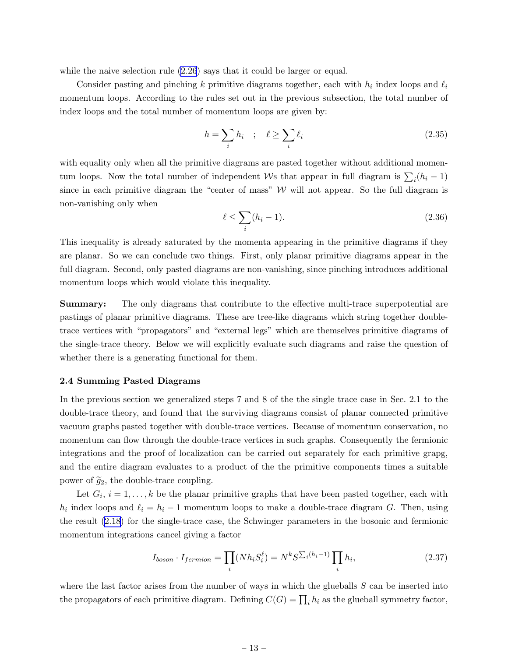<span id="page-14-0"></span>while the naive selection rule  $(2.26)$  $(2.26)$  says that it could be larger or equal.

Consider pasting and pinching k primitive diagrams together, each with  $h_i$  index loops and  $\ell_i$ momentum loops. According to the rules set out in the previous subsection, the total number of index loops and the total number of momentum loops are given by:

$$
h = \sum_{i} h_i \quad ; \quad \ell \ge \sum_{i} \ell_i \tag{2.35}
$$

with equality only when all the primitive diagrams are pasted together without additional momentum loops. Now the total number of independent Ws that appear in full diagram is  $\sum_i (h_i - 1)$ since in each primitive diagram the "center of mass"  $W$  will not appear. So the full diagram is non-vanishing only when

$$
\ell \le \sum_{i} (h_i - 1). \tag{2.36}
$$

This inequality is already saturated by the momenta appearing in the primitive diagrams if they are planar. So we can conclude two things. First, only planar primitive diagrams appear in the full diagram. Second, only pasted diagrams are non-vanishing, since pinching introduces additional momentum loops which would violate this inequality.

Summary: The only diagrams that contribute to the effective multi-trace superpotential are pastings of planar primitive diagrams. These are tree-like diagrams which string together doubletrace vertices with "propagators" and "external legs" which are themselves primitive diagrams of the single-trace theory. Below we will explicitly evaluate such diagrams and raise the question of whether there is a generating functional for them.

#### 2.4 Summing Pasted Diagrams

In the previous section we generalized steps 7 and 8 of the the single trace case in Sec. 2.1 to the double-trace theory, and found that the surviving diagrams consist of planar connected primitive vacuum graphs pasted together with double-trace vertices. Because of momentum conservation, no momentum can flow through the double-trace vertices in such graphs. Consequently the fermionic integrations and the proof of localization can be carried out separately for each primitive grapg, and the entire diagram evaluates to a product of the the primitive components times a suitable power of  $\tilde{g}_2$ , the double-trace coupling.

Let  $G_i$ ,  $i = 1, ..., k$  be the planar primitive graphs that have been pasted together, each with  $h_i$  index loops and  $\ell_i = h_i - 1$  momentum loops to make a double-trace diagram G. Then, using the result [\(2.18](#page-8-0)) for the single-trace case, the Schwinger parameters in the bosonic and fermionic momentum integrations cancel giving a factor

$$
I_{boson} \cdot I_{fermion} = \prod_{i} (Nh_i S_i^{\ell}) = N^k S^{\sum_i (h_i - 1)} \prod_i h_i,
$$
\n(2.37)

where the last factor arises from the number of ways in which the glueballs  $S$  can be inserted into the propagators of each primitive diagram. Defining  $C(G) = \prod_i h_i$  as the glueball symmetry factor,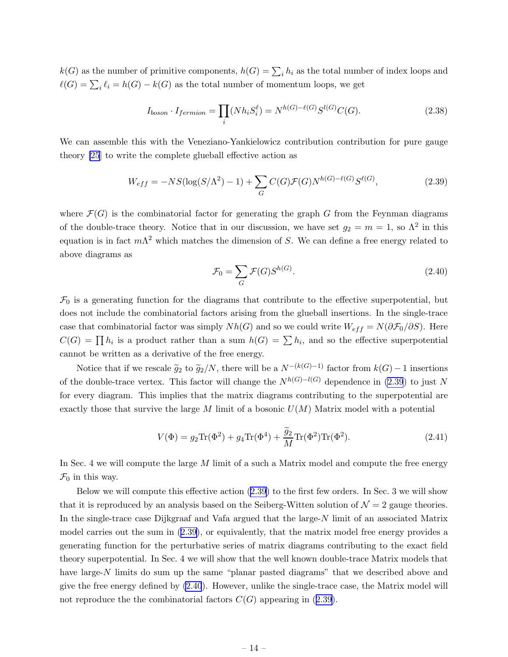<span id="page-15-0"></span> $k(G)$  as the number of primitive components,  $h(G) = \sum_i h_i$  as the total number of index loops and  $\ell(G) = \sum_i \ell_i = h(G) - k(G)$  as the total number of momentum loops, we get

$$
I_{boson} \cdot I_{fermion} = \prod_{i} (Nh_i S_i^{\ell}) = N^{h(G) - \ell(G)} S^{l(G)} C(G). \tag{2.38}
$$

We can assemble this with the Veneziano-Yankielowicz contribution contribution for pure gauge theory [\[25](#page-35-0)] to write the complete glueball effective action as

$$
W_{eff} = -NS(\log(S/\Lambda^2) - 1) + \sum_{G} C(G)\mathcal{F}(G)N^{h(G) - \ell(G)}S^{\ell(G)},
$$
\n(2.39)

where  $\mathcal{F}(G)$  is the combinatorial factor for generating the graph G from the Feynman diagrams of the double-trace theory. Notice that in our discussion, we have set  $g_2 = m = 1$ , so  $\Lambda^2$  in this equation is in fact  $m\Lambda^2$  which matches the dimension of S. We can define a free energy related to above diagrams as

$$
\mathcal{F}_0 = \sum_G \mathcal{F}(G) S^{h(G)}.\tag{2.40}
$$

 $\mathcal{F}_0$  is a generating function for the diagrams that contribute to the effective superpotential, but does not include the combinatorial factors arising from the glueball insertions. In the single-trace case that combinatorial factor was simply  $Nh(G)$  and so we could write  $W_{eff} = N(\partial \mathcal{F}_0/\partial S)$ . Here  $C(G) = \prod h_i$  is a product rather than a sum  $h(G) = \sum h_i$ , and so the effective superpotential cannot be written as a derivative of the free energy.

Notice that if we rescale  $\tilde{g}_2$  to  $\tilde{g}_2/N$ , there will be a  $N^{-(k(G)-1)}$  factor from  $k(G)-1$  insertions of the double-trace vertex. This factor will change the  $N^{h(G)-l(G)}$  dependence in (2.39) to just N for every diagram. This implies that the matrix diagrams contributing to the superpotential are exactly those that survive the large M limit of a bosonic  $U(M)$  Matrix model with a potential

$$
V(\Phi) = g_2 \text{Tr}(\Phi^2) + g_4 \text{Tr}(\Phi^4) + \frac{\tilde{g}_2}{M} \text{Tr}(\Phi^2) \text{Tr}(\Phi^2). \tag{2.41}
$$

In Sec. 4 we will compute the large  $M$  limit of a such a Matrix model and compute the free energy  $\mathcal{F}_0$  in this way.

Below we will compute this effective action (2.39) to the first few orders. In Sec. 3 we will show that it is reproduced by an analysis based on the Seiberg-Witten solution of  $\mathcal{N}=2$  gauge theories. In the single-trace case Dijkgraaf and Vafa argued that the large-N limit of an associated Matrix model carries out the sum in (2.39), or equivalently, that the matrix model free energy provides a generating function for the perturbative series of matrix diagrams contributing to the exact field theory superpotential. In Sec. 4 we will show that the well known double-trace Matrix models that have large-N limits do sum up the same "planar pasted diagrams" that we described above and give the free energy defined by (2.40). However, unlike the single-trace case, the Matrix model will not reproduce the the combinatorial factors  $C(G)$  appearing in (2.39).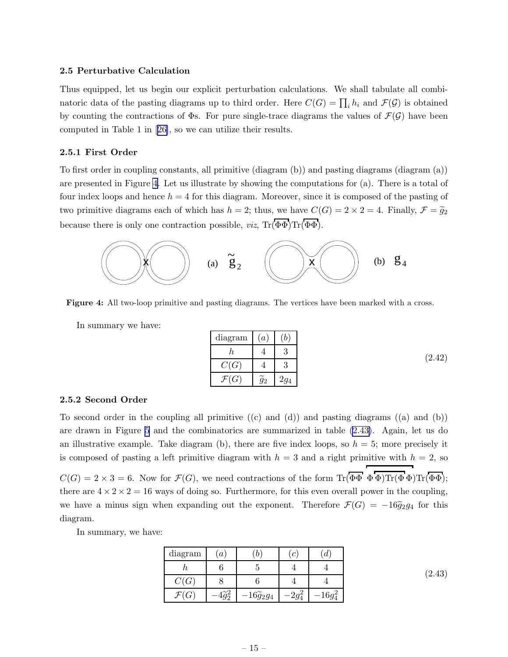#### <span id="page-16-0"></span>2.5 Perturbative Calculation

Thus equipped, let us begin our explicit perturbation calculations. We shall tabulate all combinatoric data of the pasting diagrams up to third order. Here  $C(G) = \prod_i h_i$  and  $\mathcal{F}(\mathcal{G})$  is obtained by counting the contractions of  $\Phi$ s. For pure single-trace diagrams the values of  $\mathcal{F}(\mathcal{G})$  have been computed in Table 1 in[[26\]](#page-35-0), so we can utilize their results.

#### 2.5.1 First Order

To first order in coupling constants, all primitive (diagram (b)) and pasting diagrams (diagram (a)) are presented in Figure 4. Let us illustrate by showing the computations for (a). There is a total of four index loops and hence  $h = 4$  for this diagram. Moreover, since it is composed of the pasting of two primitive diagrams each of which has  $h = 2$ ; thus, we have  $C(G) = 2 \times 2 = 4$ . Finally,  $\mathcal{F} = \tilde{g}_2$ because there is only one contraction possible, *viz*,  $\text{Tr}(\overline{\Phi}\Phi)\text{Tr}(\overline{\Phi}\Phi)$ .



Figure 4: All two-loop primitive and pasting diagrams. The vertices have been marked with a cross.

In summary we have:

| diagram          | $\boldsymbol{a}$                |               |
|------------------|---------------------------------|---------------|
| n                | ٦t.                             | $\Omega$<br>U |
| C(G)             |                                 | ച<br>U        |
| $\mathcal{F}(G)$ | $\widetilde{\phantom{m}}$<br>92 | -94           |

#### 2.5.2 Second Order

To second order in the coupling all primitive  $((c)$  and  $(d))$  and pasting diagrams  $((a)$  and  $(b))$ are drawn in Figure [5](#page-17-0) and the combinatorics are summarized in table (2.43). Again, let us do an illustrative example. Take diagram (b), there are five index loops, so  $h = 5$ ; more precisely it is composed of pasting a left primitive diagram with  $h = 3$  and a right primitive with  $h = 2$ , so

 $C(G) = 2 \times 3 = 6$ . Now for  $\mathcal{F}(G)$ , we need contractions of the form  $\text{Tr}(\overline{\Phi}\Phi) \overline{\text{Tr}(\Phi}\Phi) \text{Tr}(\overline{\Phi}\Phi)$ : there are  $4 \times 2 \times 2 = 16$  ways of doing so. Furthermore, for this even overall power in the coupling, we have a minus sign when expanding out the exponent. Therefore  $\mathcal{F}(G) = -16\tilde{g}_2g_4$  for this diagram.

In summary, we have:

| diagram          | $\boldsymbol{a}$ |                        | $\overline{c}$ | a      |
|------------------|------------------|------------------------|----------------|--------|
|                  |                  |                        |                |        |
| C(G)             |                  |                        |                |        |
| $\mathcal{F}(G)$ |                  | $16\widetilde{g}_2g_4$ |                | $16-2$ |

(2.43)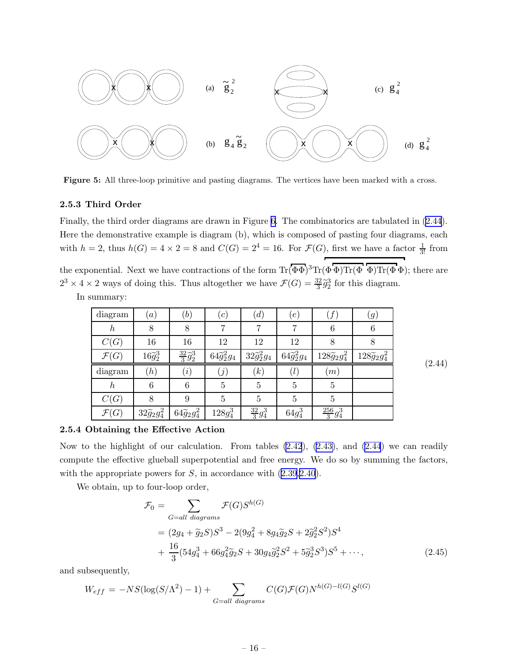<span id="page-17-0"></span>

Figure 5: All three-loop primitive and pasting diagrams. The vertices have been marked with a cross.

#### 2.5.3 Third Order

Finally, the third order diagrams are drawn in Figure [6.](#page-18-0) The combinatorics are tabulated in (2.44). Here the demonstrative example is diagram (b), which is composed of pasting four diagrams, each with  $h = 2$ , thus  $h(G) = 4 \times 2 = 8$  and  $C(G) = 2^4 = 16$ . For  $\mathcal{F}(G)$ , first we have a factor  $\frac{1}{3!}$  from the exponential. Next we have contractions of the form  $\text{Tr}(\overline{\Phi}\Phi)^3 \text{Tr}(\Phi \overline{\Phi}) \text{Tr}(\overline{\Phi} \Phi)$ ; there are  $2^3 \times 4 \times 2$  ways of doing this. Thus altogether we have  $\mathcal{F}(G) = \frac{32}{3}\tilde{g}_2^3$  for this diagram.

In summary:

| diagram          | (a)                   | $^{\prime\prime}b)$         | (c)                  | (d)                  | $\lfloor e \rfloor$  | ${}^\prime f$ ,           | (g)                       |
|------------------|-----------------------|-----------------------------|----------------------|----------------------|----------------------|---------------------------|---------------------------|
| $\hbar$          | 8                     | 8                           |                      | 7                    |                      | 6                         | 6                         |
| C(G)             | 16                    | 16                          | 12                   | 12                   | 12                   | 8                         | 8                         |
| $\mathcal{F}(G)$ | $16\widetilde{g}_2^3$ | $\frac{32}{3}\tilde{g}_2^3$ | $64\tilde{g}_2^2g_4$ | $32\tilde{g}_2^2g_4$ | $64\tilde{g}_2^2g_4$ | $128\widetilde{g}_2g_4^2$ | $128\widetilde{g}_2g_4^2$ |
| diagram          | (h)                   | (i)                         | $\left( j\right)$    | (k)                  | (l)                  | (m)                       |                           |
| $\boldsymbol{h}$ | 6                     | 6                           | $\overline{5}$       | 5                    | 5                    | 5                         |                           |
| C(G)             | 8                     | 9                           | $\overline{5}$       | 5                    | 5                    | $\overline{5}$            |                           |
|                  |                       |                             |                      | $\frac{32}{3}g_4^3$  |                      | $\frac{256}{3}g_4^3$      |                           |

(2.44)

#### 2.5.4 Obtaining the Effective Action

Now to the highlight of our calculation. From tables  $(2.42)$  $(2.42)$ ,  $(2.43)$ , and  $(2.44)$  we can readily compute the effective glueball superpotential and free energy. We do so by summing the factors, with the appropriate powers for  $S$ , in accordance with  $(2.39,2.40)$  $(2.39,2.40)$  $(2.39,2.40)$ .

We obtain, up to four-loop order,

$$
\mathcal{F}_0 = \sum_{G=all\ diagrams} \mathcal{F}(G) S^{h(G)}
$$
  
=  $(2g_4 + \tilde{g}_2 S) S^3 - 2(9g_4^2 + 8g_4 \tilde{g}_2 S + 2\tilde{g}_2^2 S^2) S^4$   
+  $\frac{16}{3} (54g_4^3 + 66g_4^2 \tilde{g}_2 S + 30g_4 \tilde{g}_2^2 S^2 + 5\tilde{g}_2^3 S^3) S^5 + \cdots,$  (2.45)

and subsequently,

$$
W_{eff} = -NS(\log(S/\Lambda^2) - 1) + \sum_{G = all\ diagrams} C(G)\mathcal{F}(G)N^{h(G)-l(G)}S^{l(G)}
$$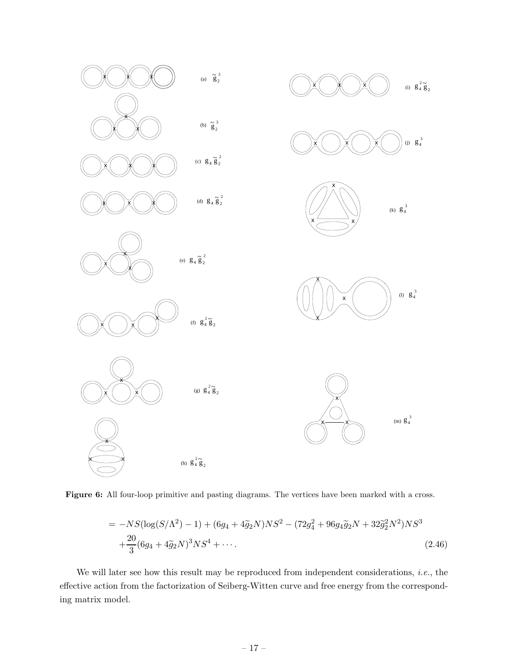<span id="page-18-0"></span>

Figure 6: All four-loop primitive and pasting diagrams. The vertices have been marked with a cross.

$$
= -NS(\log(S/\Lambda^2) - 1) + (6g_4 + 4\tilde{g}_2 N)NS^2 - (72g_4^2 + 96g_4\tilde{g}_2 N + 32\tilde{g}_2^2 N^2)NS^3
$$
  

$$
+ \frac{20}{3}(6g_4 + 4\tilde{g}_2 N)^3 NS^4 + \cdots
$$
 (2.46)

We will later see how this result may be reproduced from independent considerations, *i.e.*, the effective action from the factorization of Seiberg-Witten curve and free energy from the corresponding matrix model.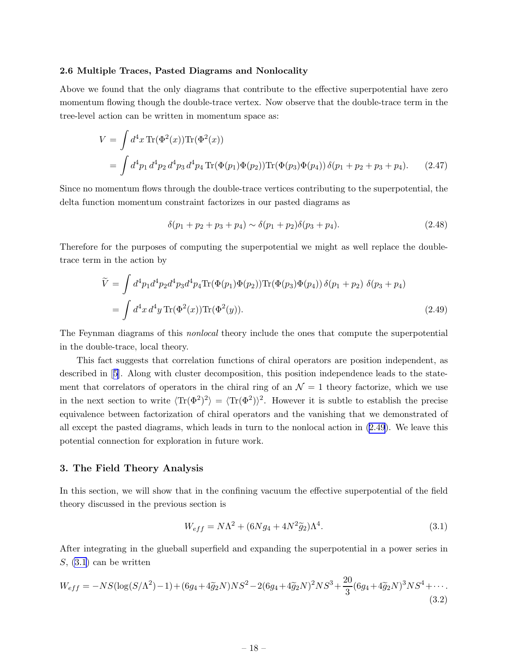#### <span id="page-19-0"></span>2.6 Multiple Traces, Pasted Diagrams and Nonlocality

Above we found that the only diagrams that contribute to the effective superpotential have zero momentum flowing though the double-trace vertex. Now observe that the double-trace term in the tree-level action can be written in momentum space as:

$$
V = \int d^4x \operatorname{Tr}(\Phi^2(x)) \operatorname{Tr}(\Phi^2(x))
$$
  
= 
$$
\int d^4p_1 d^4p_2 d^4p_3 d^4p_4 \operatorname{Tr}(\Phi(p_1)\Phi(p_2)) \operatorname{Tr}(\Phi(p_3)\Phi(p_4)) \delta(p_1 + p_2 + p_3 + p_4).
$$
 (2.47)

Since no momentum flows through the double-trace vertices contributing to the superpotential, the delta function momentum constraint factorizes in our pasted diagrams as

$$
\delta(p_1 + p_2 + p_3 + p_4) \sim \delta(p_1 + p_2)\delta(p_3 + p_4). \tag{2.48}
$$

Therefore for the purposes of computing the superpotential we might as well replace the doubletrace term in the action by

$$
\widetilde{V} = \int d^4 p_1 d^4 p_2 d^4 p_3 d^4 p_4 \text{Tr}(\Phi(p_1)\Phi(p_2)) \text{Tr}(\Phi(p_3)\Phi(p_4)) \delta(p_1 + p_2) \delta(p_3 + p_4)
$$
\n
$$
= \int d^4 x \, d^4 y \, \text{Tr}(\Phi^2(x)) \text{Tr}(\Phi^2(y)). \tag{2.49}
$$

The Feynman diagrams of this nonlocal theory include the ones that compute the superpotential in the double-trace, local theory.

This fact suggests that correlation functions of chiral operators are position independent, as described in[[5](#page-34-0)]. Along with cluster decomposition, this position independence leads to the statement that correlators of operators in the chiral ring of an  $\mathcal{N}=1$  theory factorize, which we use in the next section to write  $\langle Tr(\Phi^2)^2 \rangle = \langle Tr(\Phi^2) \rangle^2$ . However it is subtle to establish the precise equivalence between factorization of chiral operators and the vanishing that we demonstrated of all except the pasted diagrams, which leads in turn to the nonlocal action in (2.49). We leave this potential connection for exploration in future work.

#### 3. The Field Theory Analysis

In this section, we will show that in the confining vacuum the effective superpotential of the field theory discussed in the previous section is

$$
W_{eff} = N\Lambda^2 + (6Ng_4 + 4N^2\tilde{g}_2)\Lambda^4.
$$
\n(3.1)

After integrating in the glueball superfield and expanding the superpotential in a power series in  $S$ , (3.1) can be written

$$
W_{eff} = -NS(\log(S/\Lambda^2) - 1) + (6g_4 + 4\tilde{g}_2 N)NS^2 - 2(6g_4 + 4\tilde{g}_2 N)^2NS^3 + \frac{20}{3}(6g_4 + 4\tilde{g}_2 N)^3NS^4 + \cdots
$$
\n(3.2)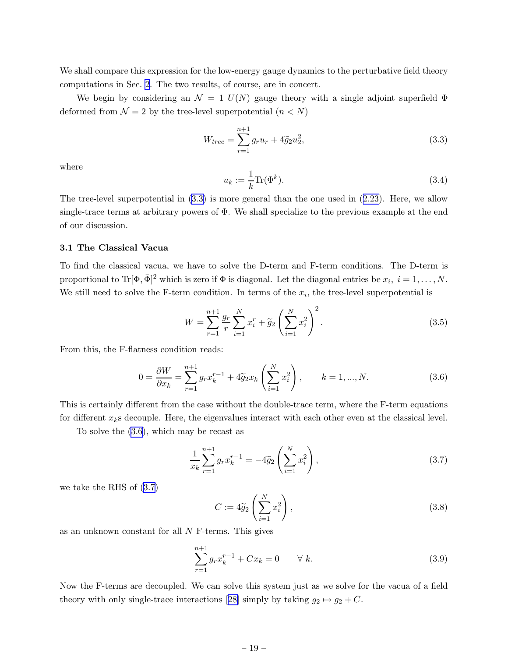<span id="page-20-0"></span>We shall compare this expression for the low-energy gauge dynamics to the perturbative field theory computations in Sec. [2](#page-5-0). The two results, of course, are in concert.

We begin by considering an  $\mathcal{N} = 1$  U(N) gauge theory with a single adjoint superfield  $\Phi$ deformed from  $\mathcal{N} = 2$  by the tree-level superpotential  $(n < N)$ 

$$
W_{tree} = \sum_{r=1}^{n+1} g_r u_r + 4\tilde{g}_2 u_2^2,
$$
\n(3.3)

where

$$
u_k := \frac{1}{k} \text{Tr}(\Phi^k). \tag{3.4}
$$

The tree-level superpotential in  $(3.3)$  is more general than the one used in  $(2.23)$  $(2.23)$ . Here, we allow single-trace terms at arbitrary powers of Φ. We shall specialize to the previous example at the end of our discussion.

#### 3.1 The Classical Vacua

To find the classical vacua, we have to solve the D-term and F-term conditions. The D-term is proportional to  $\text{Tr}[\Phi, \bar{\Phi}]^2$  which is zero if  $\Phi$  is diagonal. Let the diagonal entries be  $x_i$ ,  $i = 1, \ldots, N$ . We still need to solve the F-term condition. In terms of the  $x_i$ , the tree-level superpotential is

$$
W = \sum_{r=1}^{n+1} \frac{g_r}{r} \sum_{i=1}^{N} x_i^r + \tilde{g}_2 \left( \sum_{i=1}^{N} x_i^2 \right)^2.
$$
 (3.5)

From this, the F-flatness condition reads:

$$
0 = \frac{\partial W}{\partial x_k} = \sum_{r=1}^{n+1} g_r x_k^{r-1} + 4\tilde{g}_2 x_k \left(\sum_{i=1}^N x_i^2\right), \qquad k = 1, ..., N. \tag{3.6}
$$

This is certainly different from the case without the double-trace term, where the F-term equations for different  $x_k$ s decouple. Here, the eigenvalues interact with each other even at the classical level.

To solve the (3.6), which may be recast as

$$
\frac{1}{x_k} \sum_{r=1}^{n+1} g_r x_k^{r-1} = -4\widetilde{g}_2 \left( \sum_{i=1}^N x_i^2 \right),\tag{3.7}
$$

we take the RHS of (3.7)

$$
C := 4\tilde{g}_2 \left(\sum_{i=1}^N x_i^2\right),\tag{3.8}
$$

as an unknown constant for all N F-terms. This gives

$$
\sum_{r=1}^{n+1} g_r x_k^{r-1} + C x_k = 0 \qquad \forall \ k.
$$
 (3.9)

Now the F-terms are decoupled. We can solve this system just as we solve for the vacua of a field theorywith only single-trace interactions [[28\]](#page-35-0) simply by taking  $g_2 \mapsto g_2 + C$ .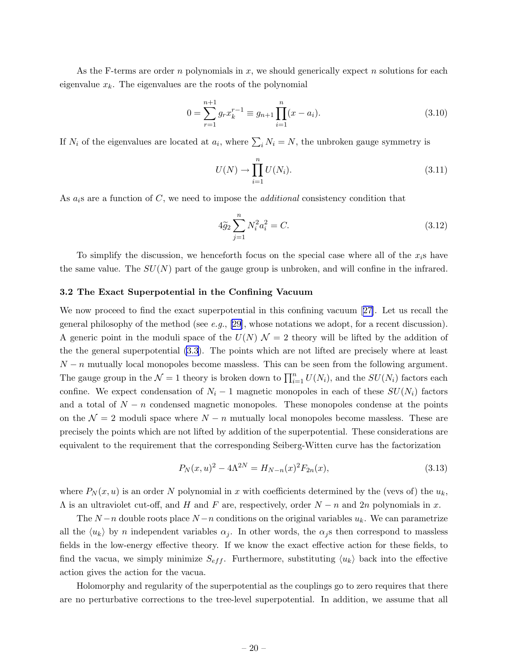<span id="page-21-0"></span>As the F-terms are order n polynomials in  $x$ , we should generically expect n solutions for each eigenvalue  $x_k$ . The eigenvalues are the roots of the polynomial

$$
0 = \sum_{r=1}^{n+1} g_r x_k^{r-1} \equiv g_{n+1} \prod_{i=1}^n (x - a_i). \tag{3.10}
$$

If  $N_i$  of the eigenvalues are located at  $a_i$ , where  $\sum_i N_i = N$ , the unbroken gauge symmetry is

$$
U(N) \to \prod_{i=1}^{n} U(N_i). \tag{3.11}
$$

As  $a_i$ s are a function of C, we need to impose the *additional* consistency condition that

$$
4\tilde{g}_2 \sum_{j=1}^n N_i^2 a_i^2 = C.
$$
\n(3.12)

To simplify the discussion, we henceforth focus on the special case where all of the  $x_i$ s have the same value. The  $SU(N)$  part of the gauge group is unbroken, and will confine in the infrared.

#### 3.2 The Exact Superpotential in the Confining Vacuum

We now proceed to find the exact superpotential in this confining vacuum[[27\]](#page-35-0). Let us recall the general philosophy of the method (see e.g., [\[29](#page-35-0)], whose notations we adopt, for a recent discussion). A generic point in the moduli space of the  $U(N)$   $\mathcal{N}=2$  theory will be lifted by the addition of the the general superpotential [\(3.3](#page-20-0)). The points which are not lifted are precisely where at least  $N - n$  mutually local monopoles become massless. This can be seen from the following argument. The gauge group in the  $\mathcal{N}=1$  theory is broken down to  $\prod_{i=1}^{n} U(N_i)$ , and the  $SU(N_i)$  factors each confine. We expect condensation of  $N_i - 1$  magnetic monopoles in each of these  $SU(N_i)$  factors and a total of  $N - n$  condensed magnetic monopoles. These monopoles condense at the points on the  $\mathcal{N} = 2$  moduli space where  $N - n$  mutually local monopoles become massless. These are precisely the points which are not lifted by addition of the superpotential. These considerations are equivalent to the requirement that the corresponding Seiberg-Witten curve has the factorization

$$
P_N(x, u)^2 - 4\Lambda^{2N} = H_{N-n}(x)^2 F_{2n}(x),
$$
\n(3.13)

where  $P_N(x, u)$  is an order N polynomial in x with coefficients determined by the (vevs of) the  $u_k$ ,  $\Lambda$  is an ultraviolet cut-off, and H and F are, respectively, order  $N - n$  and  $2n$  polynomials in x.

The  $N-n$  double roots place  $N-n$  conditions on the original variables  $u_k$ . We can parametrize all the  $\langle u_k \rangle$  by n independent variables  $\alpha_j$ . In other words, the  $\alpha_j$ s then correspond to massless fields in the low-energy effective theory. If we know the exact effective action for these fields, to find the vacua, we simply minimize  $S_{eff}$ . Furthermore, substituting  $\langle u_k \rangle$  back into the effective action gives the action for the vacua.

Holomorphy and regularity of the superpotential as the couplings go to zero requires that there are no perturbative corrections to the tree-level superpotential. In addition, we assume that all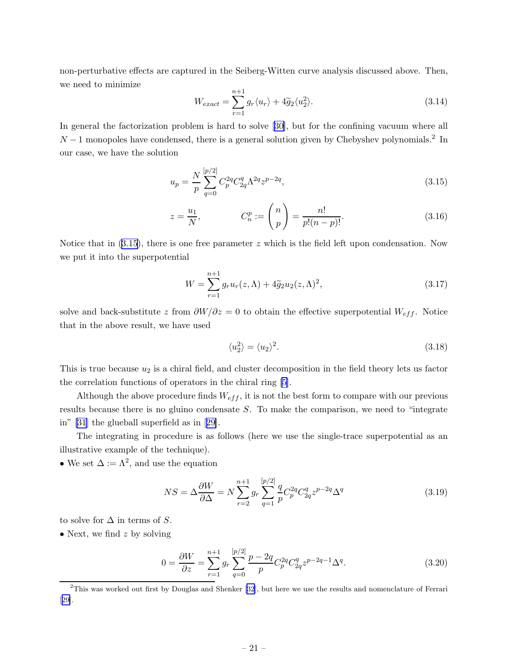<span id="page-22-0"></span>non-perturbative effects are captured in the Seiberg-Witten curve analysis discussed above. Then, we need to minimize

$$
W_{exact} = \sum_{r=1}^{n+1} g_r \langle u_r \rangle + 4\tilde{g}_2 \langle u_2^2 \rangle.
$$
 (3.14)

In general the factorization problem is hard to solve [\[30\]](#page-35-0), but for the confining vacuum where all  $N-1$  monopoles have condensed, there is a general solution given by Chebyshev polynomials.<sup>2</sup> In our case, we have the solution

$$
u_p = \frac{N}{p} \sum_{q=0}^{[p/2]} C_p^{2q} C_{2q}^q \Lambda^{2q} z^{p-2q},
$$
\n(3.15)

$$
z = \frac{u_1}{N}, \t C_n^p := \binom{n}{p} = \frac{n!}{p!(n-p)!}.
$$
\t(3.16)

Notice that in  $(3.15)$ , there is one free parameter z which is the field left upon condensation. Now we put it into the superpotential

$$
W = \sum_{r=1}^{n+1} g_r u_r(z, \Lambda) + 4\tilde{g}_2 u_2(z, \Lambda)^2,
$$
\n(3.17)

solve and back-substitute z from  $\partial W/\partial z = 0$  to obtain the effective superpotential  $W_{eff}$ . Notice that in the above result, we have used

$$
\langle u_2^2 \rangle = \langle u_2 \rangle^2. \tag{3.18}
$$

This is true because  $u_2$  is a chiral field, and cluster decomposition in the field theory lets us factor the correlation functions of operators in the chiral ring [\[5\]](#page-34-0).

Although the above procedure finds  $W_{eff}$ , it is not the best form to compare with our previous results because there is no gluino condensate S. To make the comparison, we need to "integrate in" [\[31](#page-35-0)] the glueball superfield as in[[29\]](#page-35-0).

The integrating in procedure is as follows (here we use the single-trace superpotential as an illustrative example of the technique).

• We set  $\Delta := \Lambda^2$ , and use the equation

$$
NS = \Delta \frac{\partial W}{\partial \Delta} = N \sum_{r=2}^{n+1} g_r \sum_{q=1}^{[p/2]} \frac{q}{p} C_p^{2q} C_{2q}^q z^{p-2q} \Delta^q
$$
 (3.19)

to solve for  $\Delta$  in terms of S.

• Next, we find  $z$  by solving

$$
0 = \frac{\partial W}{\partial z} = \sum_{r=1}^{n+1} g_r \sum_{q=0}^{[p/2]} \frac{p-2q}{p} C_p^{2q} C_{2q}^q z^{p-2q-1} \Delta^q.
$$
 (3.20)

<sup>&</sup>lt;sup>2</sup>Thiswas worked out first by Douglas and Shenker [[32\]](#page-35-0), but here we use the results and nomenclature of Ferrari [[29\]](#page-35-0).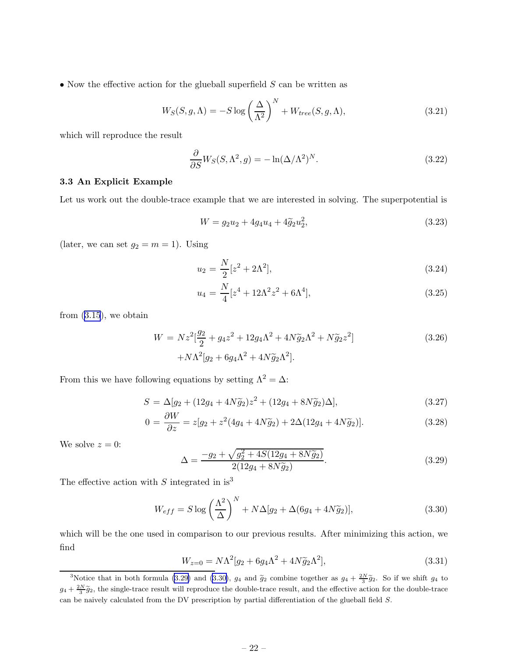<span id="page-23-0"></span>• Now the effective action for the glueball superfield  $S$  can be written as

$$
W_S(S, g, \Lambda) = -S \log \left(\frac{\Delta}{\Lambda^2}\right)^N + W_{tree}(S, g, \Lambda), \qquad (3.21)
$$

which will reproduce the result

$$
\frac{\partial}{\partial S} W_S(S, \Lambda^2, g) = -\ln(\Delta/\Lambda^2)^N.
$$
\n(3.22)

#### 3.3 An Explicit Example

Let us work out the double-trace example that we are interested in solving. The superpotential is

$$
W = g_2 u_2 + 4g_4 u_4 + 4\tilde{g}_2 u_2^2, \tag{3.23}
$$

(later, we can set  $g_2 = m = 1$ ). Using

$$
u_2 = \frac{N}{2} [z^2 + 2\Lambda^2],\tag{3.24}
$$

$$
u_4 = \frac{N}{4} [z^4 + 12\Lambda^2 z^2 + 6\Lambda^4], \tag{3.25}
$$

from [\(3.15](#page-22-0)), we obtain

$$
W = Nz^{2}[\frac{g_{2}}{2} + g_{4}z^{2} + 12g_{4}\Lambda^{2} + 4N\tilde{g}_{2}\Lambda^{2} + N\tilde{g}_{2}z^{2}]
$$
  
+ 
$$
N\Lambda^{2}[g_{2} + 6g_{4}\Lambda^{2} + 4N\tilde{g}_{2}\Lambda^{2}].
$$
 (3.26)

From this we have following equations by setting  $\Lambda^2 = \Delta$ :

$$
S = \Delta[g_2 + (12g_4 + 4N\tilde{g}_2)z^2 + (12g_4 + 8N\tilde{g}_2)\Delta],
$$
\n(3.27)

$$
0 = \frac{\partial W}{\partial z} = z[g_2 + z^2(4g_4 + 4N\tilde{g}_2) + 2\Delta(12g_4 + 4N\tilde{g}_2)].
$$
\n(3.28)

We solve  $z = 0$ :

$$
\Delta = \frac{-g_2 + \sqrt{g_2^2 + 4S(12g_4 + 8N\tilde{g}_2)}}{2(12g_4 + 8N\tilde{g}_2)}.\tag{3.29}
$$

The effective action with  $S$  integrated in is<sup>3</sup>

$$
W_{eff} = S \log \left(\frac{\Lambda^2}{\Delta}\right)^N + N\Delta[g_2 + \Delta(6g_4 + 4N\tilde{g}_2)],\tag{3.30}
$$

which will be the one used in comparison to our previous results. After minimizing this action, we find

$$
W_{z=0} = N\Lambda^2[g_2 + 6g_4\Lambda^2 + 4N\tilde{g}_2\Lambda^2],
$$
\n(3.31)

<sup>&</sup>lt;sup>3</sup>Notice that in both formula (3.29) and (3.30),  $g_4$  and  $\tilde{g}_2$  combine together as  $g_4 + \frac{2N}{3}\tilde{g}_2$ . So if we shift  $g_4$  to  $g_4 + \frac{2N}{3}\tilde{g}_2$ , the single-trace result will reproduce the double-trace result, and the effective action for the double-trace can be naively calculated from the DV prescription by partial differentiation of the glueball field S.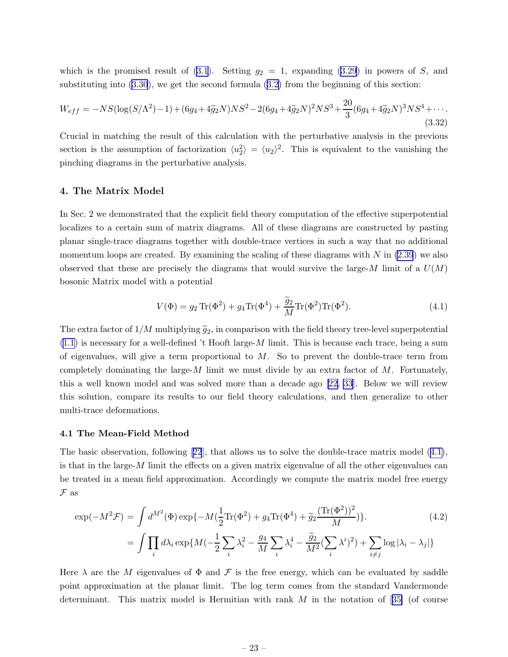<span id="page-24-0"></span>which is the promised result of  $(3.1)$ . Setting  $g_2 = 1$ , expanding  $(3.29)$  $(3.29)$  in powers of S, and substituting into [\(3.30](#page-23-0)), we get the second formula ([3.2\)](#page-19-0) from the beginning of this section:

$$
W_{eff} = -NS(\log(S/\Lambda^2) - 1) + (6g_4 + 4\tilde{g}_2N)NS^2 - 2(6g_4 + 4\tilde{g}_2N)^2NS^3 + \frac{20}{3}(6g_4 + 4\tilde{g}_2N)^3NS^4 + \cdots
$$
\n(3.32)

Crucial in matching the result of this calculation with the perturbative analysis in the previous section is the assumption of factorization  $\langle u_2^2 \rangle = \langle u_2 \rangle^2$ . This is equivalent to the vanishing the pinching diagrams in the perturbative analysis.

#### 4. The Matrix Model

In Sec. 2 we demonstrated that the explicit field theory computation of the effective superpotential localizes to a certain sum of matrix diagrams. All of these diagrams are constructed by pasting planar single-trace diagrams together with double-trace vertices in such a way that no additional momentum loops are created. By examining the scaling of these diagrams with  $N$  in  $(2.39)$  $(2.39)$  we also observed that these are precisely the diagrams that would survive the large-M limit of a  $U(M)$ bosonic Matrix model with a potential

$$
V(\Phi) = g_2 \operatorname{Tr}(\Phi^2) + g_4 \operatorname{Tr}(\Phi^4) + \frac{\tilde{g}_2}{M} \operatorname{Tr}(\Phi^2) \operatorname{Tr}(\Phi^2). \tag{4.1}
$$

The extra factor of  $1/M$  multiplying  $\tilde{g}_2$ , in comparison with the field theory tree-level superpotential  $(1.1)$  $(1.1)$  is necessary for a well-defined 't Hooft large-M limit. This is because each trace, being a sum of eigenvalues, will give a term proportional to  $M$ . So to prevent the double-trace term from completely dominating the large- $M$  limit we must divide by an extra factor of  $M$ . Fortunately, this a well known model and was solved more than a decade ago [\[22](#page-35-0), [33](#page-35-0)]. Below we will review this solution, compare its results to our field theory calculations, and then generalize to other multi-trace deformations.

#### 4.1 The Mean-Field Method

The basic observation, following[[22](#page-35-0)], that allows us to solve the double-trace matrix model (4.1), is that in the large- $M$  limit the effects on a given matrix eigenvalue of all the other eigenvalues can be treated in a mean field approximation. Accordingly we compute the matrix model free energy  $\mathcal F$  as

$$
\exp(-M^{2}\mathcal{F}) = \int d^{M^{2}}(\Phi) \exp\{-M(\frac{1}{2}\text{Tr}(\Phi^{2}) + g_{4}\text{Tr}(\Phi^{4}) + \tilde{g}_{2}\frac{(\text{Tr}(\Phi^{2}))^{2}}{M})\}.
$$
\n
$$
= \int \prod_{i} d\lambda_{i} \exp\{M(-\frac{1}{2}\sum_{i} \lambda_{i}^{2} - \frac{g_{4}}{M}\sum_{i} \lambda_{i}^{4} - \frac{\tilde{g}_{2}}{M^{2}}(\sum_{i} \lambda^{i})^{2}) + \sum_{i \neq j} \log|\lambda_{i} - \lambda_{j}|\}
$$
\n(4.2)

Here  $\lambda$  are the M eigenvalues of  $\Phi$  and  $\mathcal F$  is the free energy, which can be evaluated by saddle point approximation at the planar limit. The log term comes from the standard Vandermonde determinant.This matrix model is Hermitian with rank  $M$  in the notation of [[35\]](#page-35-0) (of course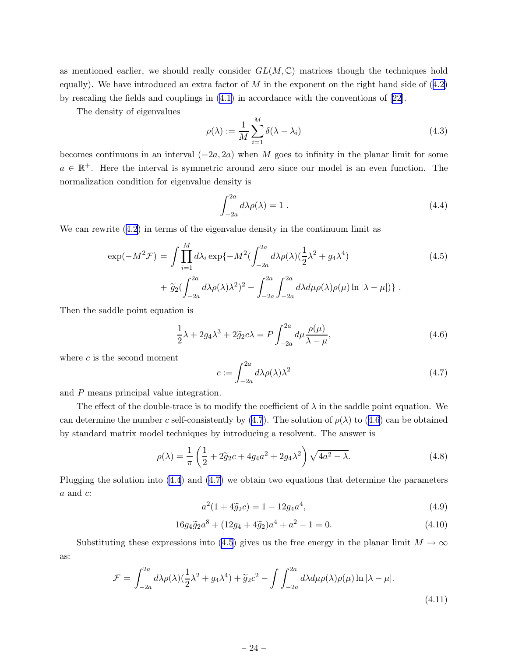<span id="page-25-0"></span>as mentioned earlier, we should really consider  $GL(M, \mathbb{C})$  matrices though the techniques hold equally). We have introduced an extra factor of  $M$  in the exponent on the right hand side of  $(4.2)$  $(4.2)$ by rescaling the fields and couplings in ([4.1\)](#page-24-0) in accordance with the conventions of [\[22](#page-35-0)].

The density of eigenvalues

$$
\rho(\lambda) := \frac{1}{M} \sum_{i=1}^{M} \delta(\lambda - \lambda_i)
$$
\n(4.3)

becomes continuous in an interval  $(-2a, 2a)$  when M goes to infinity in the planar limit for some  $a \in \mathbb{R}^+$ . Here the interval is symmetric around zero since our model is an even function. The normalization condition for eigenvalue density is

$$
\int_{-2a}^{2a} d\lambda \rho(\lambda) = 1.
$$
 (4.4)

We can rewrite [\(4.2\)](#page-24-0) in terms of the eigenvalue density in the continuum limit as

$$
\exp(-M^2 \mathcal{F}) = \int \prod_{i=1}^M d\lambda_i \exp\{-M^2(\int_{-2a}^{2a} d\lambda \rho(\lambda) (\frac{1}{2}\lambda^2 + g_4 \lambda^4) \right)
$$
  
+ 
$$
\widetilde{g}_2(\int_{-2a}^{2a} d\lambda \rho(\lambda) \lambda^2)^2 - \int_{-2a}^{2a} \int_{-2a}^{2a} d\lambda d\mu \rho(\lambda) \rho(\mu) \ln |\lambda - \mu|) \}.
$$
 (4.5)

Then the saddle point equation is

$$
\frac{1}{2}\lambda + 2g_4\lambda^3 + 2\tilde{g}_2c\lambda = P \int_{-2a}^{2a} d\mu \frac{\rho(\mu)}{\lambda - \mu},
$$
\n(4.6)

where  $c$  is the second moment

$$
c := \int_{-2a}^{2a} d\lambda \rho(\lambda) \lambda^2 \tag{4.7}
$$

and P means principal value integration.

The effect of the double-trace is to modify the coefficient of  $\lambda$  in the saddle point equation. We can determine the number c self-consistently by (4.7). The solution of  $\rho(\lambda)$  to (4.6) can be obtained by standard matrix model techniques by introducing a resolvent. The answer is

$$
\rho(\lambda) = \frac{1}{\pi} \left( \frac{1}{2} + 2\tilde{g}_2 c + 4g_4 a^2 + 2g_4 \lambda^2 \right) \sqrt{4a^2 - \lambda}.
$$
 (4.8)

Plugging the solution into (4.4) and (4.7) we obtain two equations that determine the parameters  $\boldsymbol{a}$  and  $\boldsymbol{c}$ 

$$
a^2(1+4\tilde{g}_2c) = 1 - 12g_4a^4,\tag{4.9}
$$

$$
16g_4\tilde{g}_2a^8 + (12g_4 + 4\tilde{g}_2)a^4 + a^2 - 1 = 0.
$$
 (4.10)

Substituting these expressions into (4.5) gives us the free energy in the planar limit  $M \to \infty$ as:

$$
\mathcal{F} = \int_{-2a}^{2a} d\lambda \rho(\lambda) (\frac{1}{2}\lambda^2 + g_4 \lambda^4) + \tilde{g}_2 c^2 - \int \int_{-2a}^{2a} d\lambda d\mu \rho(\lambda) \rho(\mu) \ln|\lambda - \mu|.
$$
\n(4.11)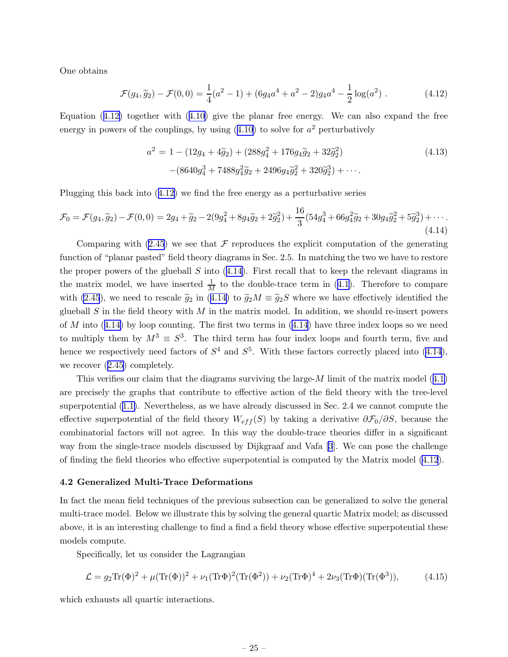<span id="page-26-0"></span>One obtains

$$
\mathcal{F}(g_4, \tilde{g}_2) - \mathcal{F}(0, 0) = \frac{1}{4}(a^2 - 1) + (6g_4a^4 + a^2 - 2)g_4a^4 - \frac{1}{2}\log(a^2)
$$
 (4.12)

Equation  $(4.12)$  together with  $(4.10)$  $(4.10)$  give the planar free energy. We can also expand the free energy in powers of the couplings, by using  $(4.10)$  $(4.10)$  $(4.10)$  to solve for  $a<sup>2</sup>$  perturbatively

$$
a^{2} = 1 - (12g_{4} + 4\tilde{g}_{2}) + (288g_{4}^{2} + 176g_{4}\tilde{g}_{2} + 32\tilde{g}_{2}^{2})
$$
\n
$$
-(8640g_{4}^{3} + 7488g_{4}^{2}\tilde{g}_{2} + 2496g_{4}\tilde{g}_{2}^{2} + 320\tilde{g}_{2}^{3}) + \cdots
$$
\n(4.13)

Plugging this back into (4.12) we find the free energy as a perturbative series

$$
\mathcal{F}_0 = \mathcal{F}(g_4, \tilde{g}_2) - \mathcal{F}(0, 0) = 2g_4 + \tilde{g}_2 - 2(9g_4^2 + 8g_4\tilde{g}_2 + 2\tilde{g}_2^2) + \frac{16}{3}(54g_4^3 + 66g_4^2\tilde{g}_2 + 30g_4\tilde{g}_2^2 + 5\tilde{g}_2^3) + \cdots
$$
\n(4.14)

Comparing with  $(2.45)$  $(2.45)$  we see that  $\mathcal F$  reproduces the explicit computation of the generating function of "planar pasted" field theory diagrams in Sec. 2.5. In matching the two we have to restore the proper powers of the glueball  $S$  into  $(4.14)$ . First recall that to keep the relevant diagrams in the matrix model, we have inserted  $\frac{1}{M}$  to the double-trace term in ([4.1\)](#page-24-0). Therefore to compare with [\(2.45](#page-17-0)), we need to rescale  $\tilde{g}_2$  in (4.14) to  $\tilde{g}_2M \equiv \tilde{g}_2S$  where we have effectively identified the glueball S in the field theory with M in the matrix model. In addition, we should re-insert powers of M into  $(4.14)$  by loop counting. The first two terms in  $(4.14)$  have three index loops so we need to multiply them by  $M^3 \equiv S^3$ . The third term has four index loops and fourth term, five and hence we respectively need factors of  $S^4$  and  $S^5$ . With these factors correctly placed into (4.14), we recover ([2.45\)](#page-17-0) completely.

This verifies our claim that the diagrams surviving the large-M limit of the matrix model ([4.1\)](#page-24-0) are precisely the graphs that contribute to effective action of the field theory with the tree-level superpotential ([1.1\)](#page-3-0). Nevertheless, as we have already discussed in Sec. 2.4 we cannot compute the effective superpotential of the field theory  $W_{eff}(S)$  by taking a derivative  $\partial \mathcal{F}_0/\partial S$ , because the combinatorial factors will not agree. In this way the double-trace theories differ in a significant way from the single-trace models discussed by Dijkgraaf and Vafa [\[3](#page-34-0)]. We can pose the challenge of finding the field theories who effective superpotential is computed by the Matrix model (4.12).

#### 4.2 Generalized Multi-Trace Deformations

In fact the mean field techniques of the previous subsection can be generalized to solve the general multi-trace model. Below we illustrate this by solving the general quartic Matrix model; as discussed above, it is an interesting challenge to find a find a field theory whose effective superpotential these models compute.

Specifically, let us consider the Lagrangian

$$
\mathcal{L} = g_2 \text{Tr}(\Phi)^2 + \mu(\text{Tr}(\Phi))^2 + \nu_1(\text{Tr}\Phi)^2(\text{Tr}(\Phi^2)) + \nu_2(\text{Tr}\Phi)^4 + 2\nu_3(\text{Tr}\Phi)(\text{Tr}(\Phi^3)),\tag{4.15}
$$

which exhausts all quartic interactions.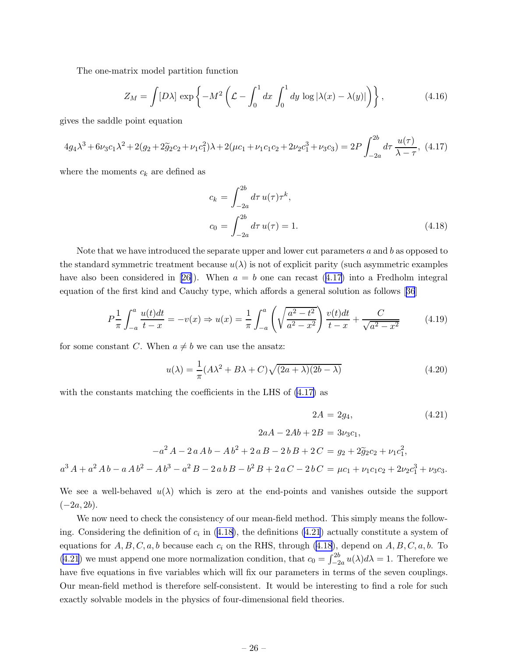The one-matrix model partition function

$$
Z_M = \int [D\lambda] \exp\left\{-M^2 \left(\mathcal{L} - \int_0^1 dx \int_0^1 dy \, \log|\lambda(x) - \lambda(y)|\right)\right\},\tag{4.16}
$$

gives the saddle point equation

$$
4g_4\lambda^3 + 6\nu_3c_1\lambda^2 + 2(g_2 + 2\tilde{g}_2c_2 + \nu_1c_1^2)\lambda + 2(\mu c_1 + \nu_1c_1c_2 + 2\nu_2c_1^3 + \nu_3c_3) = 2P \int_{-2a}^{2b} d\tau \frac{u(\tau)}{\lambda - \tau},
$$
 (4.17)

where the moments  $c_k$  are defined as

$$
c_k = \int_{-2a}^{2b} d\tau \, u(\tau) \tau^k,
$$
  
\n
$$
c_0 = \int_{-2a}^{2b} d\tau \, u(\tau) = 1.
$$
\n(4.18)

Note that we have introduced the separate upper and lower cut parameters  $a$  and  $b$  as opposed to the standard symmetric treatment because  $u(\lambda)$  is not of explicit parity (such asymmetric examples have also been considered in [\[26\]](#page-35-0)). When  $a = b$  one can recast (4.17) into a Fredholm integral equation of the first kind and Cauchy type, which affords a general solution as follows[[36](#page-35-0)]

$$
P\frac{1}{\pi} \int_{-a}^{a} \frac{u(t)dt}{t-x} = -v(x) \Rightarrow u(x) = \frac{1}{\pi} \int_{-a}^{a} \left( \sqrt{\frac{a^2 - t^2}{a^2 - x^2}} \right) \frac{v(t)dt}{t-x} + \frac{C}{\sqrt{a^2 - x^2}} \tag{4.19}
$$

for some constant C. When  $a \neq b$  we can use the ansatz:

$$
u(\lambda) = \frac{1}{\pi} (A\lambda^2 + B\lambda + C) \sqrt{(2a + \lambda)(2b - \lambda)}
$$
(4.20)

with the constants matching the coefficients in the LHS of  $(4.17)$  as

$$
2A = 2g_4,\tag{4.21}
$$

$$
2aA - 2Ab + 2B = 3\nu_3c_1,
$$
  

$$
-a^2A - 2aAb - Ab^2 + 2aB - 2bB + 2C = g_2 + 2\tilde{g}_2c_2 + \nu_1c_1^2,
$$

 $a^3 A + a^2 A b - a A b^2 - A b^3 - a^2 B - 2 a b B - b^2 B + 2 a C - 2 b C = \mu c_1 + \nu_1 c_1 c_2 + 2 \nu_2 c_1^3 + \nu_3 c_3.$ 

We see a well-behaved  $u(\lambda)$  which is zero at the end-points and vanishes outside the support  $(-2a, 2b)$ .

We now need to check the consistency of our mean-field method. This simply means the following. Considering the definition of  $c_i$  in (4.18), the definitions (4.21) actually constitute a system of equations for  $A, B, C, a, b$  because each  $c_i$  on the RHS, through (4.18), depend on  $A, B, C, a, b$ . To (4.21) we must append one more normalization condition, that  $c_0 = \int_{-2a}^{2b} u(\lambda) d\lambda = 1$ . Therefore we have five equations in five variables which will fix our parameters in terms of the seven couplings. Our mean-field method is therefore self-consistent. It would be interesting to find a role for such exactly solvable models in the physics of four-dimensional field theories.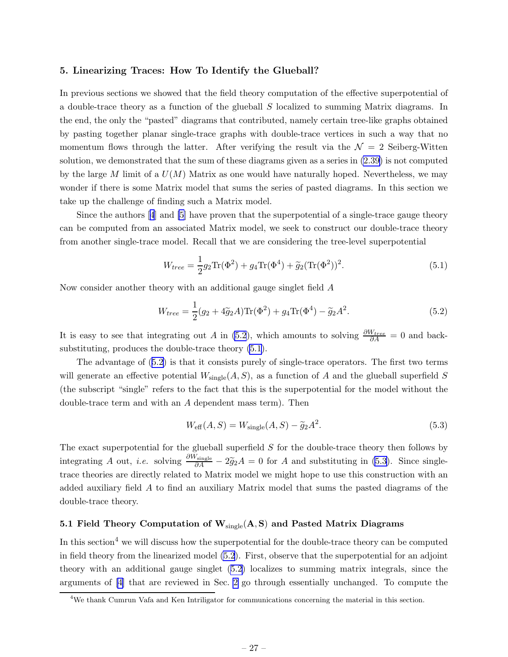#### <span id="page-28-0"></span>5. Linearizing Traces: How To Identify the Glueball?

In previous sections we showed that the field theory computation of the effective superpotential of a double-trace theory as a function of the glueball S localized to summing Matrix diagrams. In the end, the only the "pasted" diagrams that contributed, namely certain tree-like graphs obtained by pasting together planar single-trace graphs with double-trace vertices in such a way that no momentum flows through the latter. After verifying the result via the  $\mathcal{N} = 2$  Seiberg-Witten solution, we demonstrated that the sum of these diagrams given as a series in [\(2.39\)](#page-15-0) is not computed by the large M limit of a  $U(M)$  Matrix as one would have naturally hoped. Nevertheless, we may wonder if there is some Matrix model that sums the series of pasted diagrams. In this section we take up the challenge of finding such a Matrix model.

Since the authors[[4](#page-34-0)] and [\[5\]](#page-34-0) have proven that the superpotential of a single-trace gauge theory can be computed from an associated Matrix model, we seek to construct our double-trace theory from another single-trace model. Recall that we are considering the tree-level superpotential

$$
W_{tree} = \frac{1}{2}g_2 \text{Tr}(\Phi^2) + g_4 \text{Tr}(\Phi^4) + \tilde{g}_2 (\text{Tr}(\Phi^2))^2.
$$
 (5.1)

Now consider another theory with an additional gauge singlet field A

$$
W_{tree} = \frac{1}{2}(g_2 + 4\tilde{g}_2 A) \text{Tr}(\Phi^2) + g_4 \text{Tr}(\Phi^4) - \tilde{g}_2 A^2.
$$
 (5.2)

It is easy to see that integrating out A in (5.2), which amounts to solving  $\frac{\partial W_{tree}}{\partial A} = 0$  and backsubstituting, produces the double-trace theory (5.1).

The advantage of (5.2) is that it consists purely of single-trace operators. The first two terms will generate an effective potential  $W_{\text{single}}(A, S)$ , as a function of A and the glueball superfield S (the subscript "single" refers to the fact that this is the superpotential for the model without the double-trace term and with an A dependent mass term). Then

$$
W_{\text{eff}}(A, S) = W_{\text{single}}(A, S) - \tilde{g}_2 A^2.
$$
\n
$$
(5.3)
$$

The exact superpotential for the glueball superfield S for the double-trace theory then follows by integrating A out, *i.e.* solving  $\frac{\partial W_{\text{single}}}{\partial A} - 2\tilde{g}_2 A = 0$  for A and substituting in (5.3). Since singletrace theories are directly related to Matrix model we might hope to use this construction with an added auxiliary field A to find an auxiliary Matrix model that sums the pasted diagrams of the double-trace theory.

#### 5.1 Field Theory Computation of  $W_{single}(A, S)$  and Pasted Matrix Diagrams

In this section<sup>4</sup> we will discuss how the superpotential for the double-trace theory can be computed in field theory from the linearized model (5.2). First, observe that the superpotential for an adjoint theory with an additional gauge singlet (5.2) localizes to summing matrix integrals, since the arguments of [\[4\]](#page-34-0) that are reviewed in Sec. [2](#page-5-0) go through essentially unchanged. To compute the

<sup>4</sup>We thank Cumrun Vafa and Ken Intriligator for communications concerning the material in this section.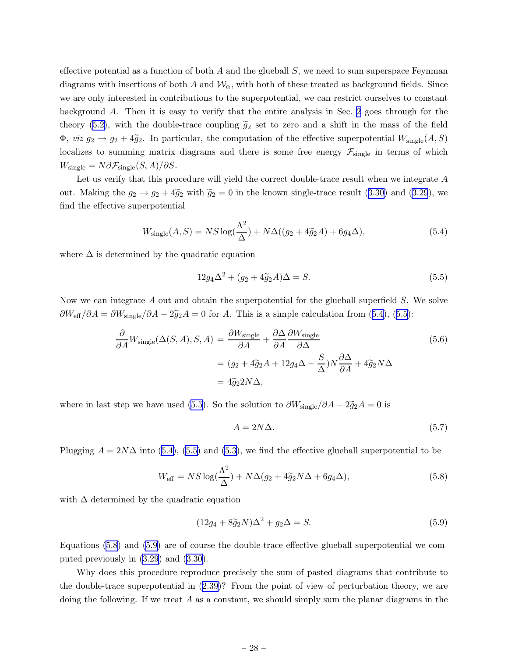effective potential as a function of both  $A$  and the glueball  $S$ , we need to sum superspace Feynman diagrams with insertions of both A and  $\mathcal{W}_{\alpha}$ , with both of these treated as background fields. Since we are only interested in contributions to the superpotential, we can restrict ourselves to constant background A. Then it is easy to verify that the entire analysis in Sec. [2](#page-5-0) goes through for the theory ([5.2\)](#page-28-0), with the double-trace coupling  $\tilde{g}_2$  set to zero and a shift in the mass of the field  $\Phi$ , *viz*  $g_2 \to g_2 + 4\tilde{g}_2$ . In particular, the computation of the effective superpotential  $W_{\text{single}}(A, S)$ localizes to summing matrix diagrams and there is some free energy  $\mathcal{F}_{single}$  in terms of which  $W_{\text{single}} = N \partial \mathcal{F}_{\text{single}}(S, A) / \partial S.$ 

Let us verify that this procedure will yield the correct double-trace result when we integrate A out. Making the  $g_2 \rightarrow g_2 + 4\tilde{g}_2$  with  $\tilde{g}_2 = 0$  in the known single-trace result ([3.30](#page-23-0)) and [\(3.29](#page-23-0)), we find the effective superpotential

$$
W_{\text{single}}(A, S) = NS \log(\frac{\Lambda^2}{\Delta}) + N\Delta((g_2 + 4\tilde{g}_2 A) + 6g_4 \Delta), \tag{5.4}
$$

where  $\Delta$  is determined by the quadratic equation

$$
12g_4\Delta^2 + (g_2 + 4\tilde{g}_2A)\Delta = S.
$$
\n(5.5)

Now we can integrate A out and obtain the superpotential for the glueball superfield S. We solve  $\partial W_{\text{eff}}/\partial A = \partial W_{\text{single}}/\partial A - 2\tilde{g}_2A = 0$  for A. This is a simple calculation from (5.4), (5.5):

$$
\frac{\partial}{\partial A} W_{\text{single}}(\Delta(S, A), S, A) = \frac{\partial W_{\text{single}}}{\partial A} + \frac{\partial \Delta}{\partial A} \frac{\partial W_{\text{single}}}{\partial \Delta} \n= (g_2 + 4\tilde{g}_2 A + 12g_4 \Delta - \frac{S}{\Delta}) N \frac{\partial \Delta}{\partial A} + 4\tilde{g}_2 N \Delta \n= 4\tilde{g}_2 2N \Delta,
$$
\n(5.6)

where in last step we have used (5.5). So the solution to  $\partial W_{\text{single}}/\partial A - 2\tilde{g}_2A = 0$  is

$$
A = 2N\Delta. \tag{5.7}
$$

Plugging  $A = 2N\Delta$  into (5.4), (5.5) and [\(5.3](#page-28-0)), we find the effective glueball superpotential to be

$$
W_{\text{eff}} = NS \log(\frac{\Lambda^2}{\Delta}) + N\Delta(g_2 + 4\tilde{g}_2 N\Delta + 6g_4 \Delta), \tag{5.8}
$$

with  $\Delta$  determined by the quadratic equation

$$
(12g_4 + 8\tilde{g}_2 N)\Delta^2 + g_2 \Delta = S.
$$
\n<sup>(5.9)</sup>

Equations (5.8) and (5.9) are of course the double-trace effective glueball superpotential we computed previously in [\(3.29](#page-23-0)) and ([3.30](#page-23-0)).

Why does this procedure reproduce precisely the sum of pasted diagrams that contribute to the double-trace superpotential in ([2.39](#page-15-0))? From the point of view of perturbation theory, we are doing the following. If we treat  $A$  as a constant, we should simply sum the planar diagrams in the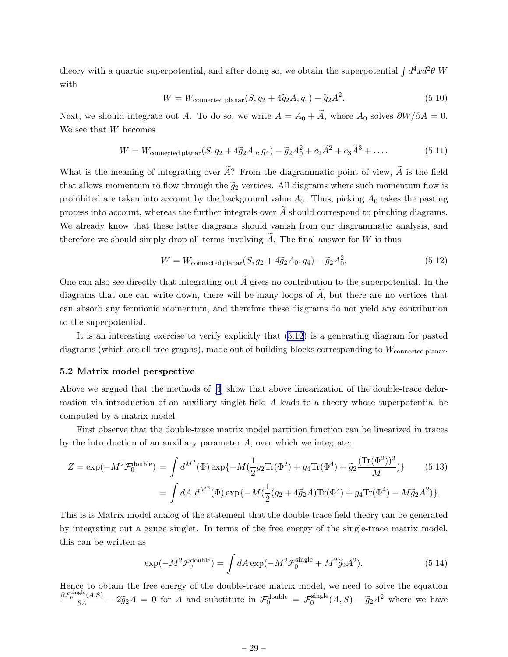<span id="page-30-0"></span>theory with a quartic superpotential, and after doing so, we obtain the superpotential  $\int d^4x d^2\theta W$ with

$$
W = W_{\text{connected planar}}(S, g_2 + 4\tilde{g}_2 A, g_4) - \tilde{g}_2 A^2.
$$
\n
$$
(5.10)
$$

Next, we should integrate out A. To do so, we write  $A = A_0 + \tilde{A}$ , where  $A_0$  solves  $\partial W / \partial A = 0$ . We see that W becomes

$$
W = W_{\text{connected planar}}(S, g_2 + 4\tilde{g}_2 A_0, g_4) - \tilde{g}_2 A_0^2 + c_2 \tilde{A}^2 + c_3 \tilde{A}^3 + \dots
$$
 (5.11)

What is the meaning of integrating over  $\widetilde{A}$ ? From the diagrammatic point of view,  $\widetilde{A}$  is the field that allows momentum to flow through the  $\tilde{g}_2$  vertices. All diagrams where such momentum flow is prohibited are taken into account by the background value  $A_0$ . Thus, picking  $A_0$  takes the pasting process into account, whereas the further integrals over  $\widetilde{A}$  should correspond to pinching diagrams. We already know that these latter diagrams should vanish from our diagrammatic analysis, and therefore we should simply drop all terms involving A. The final answer for  $W$  is thus

$$
W = W_{\text{connected planar}}(S, g_2 + 4\tilde{g}_2 A_0, g_4) - \tilde{g}_2 A_0^2.
$$
\n
$$
(5.12)
$$

One can also see directly that integrating out  $\widetilde{A}$  gives no contribution to the superpotential. In the diagrams that one can write down, there will be many loops of  $\tilde{A}$ , but there are no vertices that can absorb any fermionic momentum, and therefore these diagrams do not yield any contribution to the superpotential.

It is an interesting exercise to verify explicitly that (5.12) is a generating diagram for pasted diagrams (which are all tree graphs), made out of building blocks corresponding to  $W_{\text{connected planar}}$ .

#### 5.2 Matrix model perspective

Above we argued that the methods of[[4](#page-34-0)] show that above linearization of the double-trace deformation via introduction of an auxiliary singlet field A leads to a theory whose superpotential be computed by a matrix model.

First observe that the double-trace matrix model partition function can be linearized in traces by the introduction of an auxiliary parameter  $A$ , over which we integrate:

$$
Z = \exp(-M^2 \mathcal{F}_0^{\text{double}}) = \int d^{M^2}(\Phi) \exp\{-M(\frac{1}{2}g_2 \text{Tr}(\Phi^2) + g_4 \text{Tr}(\Phi^4) + \tilde{g}_2 \frac{(\text{Tr}(\Phi^2))^2}{M})\} \qquad (5.13)
$$

$$
= \int dA \ d^{M^2}(\Phi) \exp\{-M(\frac{1}{2}(g_2 + 4\tilde{g}_2 A)\text{Tr}(\Phi^2) + g_4 \text{Tr}(\Phi^4) - M\tilde{g}_2 A^2)\}.
$$

This is is Matrix model analog of the statement that the double-trace field theory can be generated by integrating out a gauge singlet. In terms of the free energy of the single-trace matrix model, this can be written as

$$
\exp(-M^2 \mathcal{F}_0^{\text{double}}) = \int dA \exp(-M^2 \mathcal{F}_0^{\text{single}} + M^2 \tilde{g}_2 A^2). \tag{5.14}
$$

Hence to obtain the free energy of the double-trace matrix model, we need to solve the equation  $\frac{\partial \mathcal{F}_0^{\text{single}}(A,S)}{\partial A} - 2 \tilde{g}_2 A = 0$  for A and substitute in  $\mathcal{F}_0^{\text{double}} = \mathcal{F}_0^{\text{single}}$  $0_0^{\text{single}}(A, S) - \tilde{g}_2 A^2$  where we have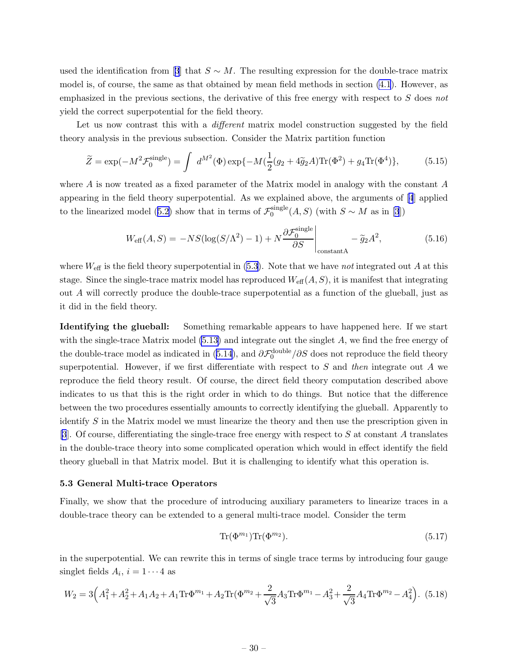<span id="page-31-0"></span>usedthe identification from [[3](#page-34-0)] that  $S \sim M$ . The resulting expression for the double-trace matrix model is, of course, the same as that obtained by mean field methods in section [\(4.1](#page-24-0)). However, as emphasized in the previous sections, the derivative of this free energy with respect to S does not yield the correct superpotential for the field theory.

Let us now contrast this with a *different* matrix model construction suggested by the field theory analysis in the previous subsection. Consider the Matrix partition function

$$
\widetilde{Z} = \exp(-M^2 \mathcal{F}_0^{\text{single}}) = \int d^{M^2}(\Phi) \exp\{-M(\frac{1}{2}(g_2 + 4\widetilde{g}_2 A) \text{Tr}(\Phi^2) + g_4 \text{Tr}(\Phi^4)\},\tag{5.15}
$$

where  $A$  is now treated as a fixed parameter of the Matrix model in analogy with the constant  $A$ appearing in the field theory superpotential. As we explained above, the arguments of [\[4](#page-34-0)] applied to the linearized model ([5.2\)](#page-28-0) show that in terms of  $\mathcal{F}_0^{\text{single}}$  $0^{\text{single}}(A, S)$  (with  $S \sim M$  as in [\[3](#page-34-0)])

$$
W_{\text{eff}}(A, S) = -NS(\log(S/\Lambda^2) - 1) + N \frac{\partial \mathcal{F}_0^{\text{single}}}{\partial S} \bigg|_{\text{constantA}} - \tilde{g}_2 A^2,\tag{5.16}
$$

where  $W_{\text{eff}}$  is the field theory superpotential in [\(5.3](#page-28-0)). Note that we have not integrated out A at this stage. Since the single-trace matrix model has reproduced  $W_{\text{eff}}(A, S)$ , it is manifest that integrating out A will correctly produce the double-trace superpotential as a function of the glueball, just as it did in the field theory.

Identifying the glueball: Something remarkable appears to have happened here. If we start with the single-trace Matrix model  $(5.13)$  and integrate out the singlet A, we find the free energy of the double-trace model as indicated in ([5.14\)](#page-30-0), and  $\partial \mathcal{F}_0^{\text{double}}/\partial S$  does not reproduce the field theory superpotential. However, if we first differentiate with respect to  $S$  and then integrate out  $\tilde{A}$  we reproduce the field theory result. Of course, the direct field theory computation described above indicates to us that this is the right order in which to do things. But notice that the difference between the two procedures essentially amounts to correctly identifying the glueball. Apparently to identify S in the Matrix model we must linearize the theory and then use the prescription given in [\[3](#page-34-0)]. Of course, differentiating the single-trace free energy with respect to  $S$  at constant  $A$  translates in the double-trace theory into some complicated operation which would in effect identify the field theory glueball in that Matrix model. But it is challenging to identify what this operation is.

#### 5.3 General Multi-trace Operators

Finally, we show that the procedure of introducing auxiliary parameters to linearize traces in a double-trace theory can be extended to a general multi-trace model. Consider the term

$$
\operatorname{Tr}(\Phi^{m_1}) \operatorname{Tr}(\Phi^{m_2}).\tag{5.17}
$$

in the superpotential. We can rewrite this in terms of single trace terms by introducing four gauge singlet fields  $A_i$ ,  $i = 1 \cdots 4$  as

$$
W_2 = 3\left(A_1^2 + A_2^2 + A_1A_2 + A_1\text{Tr}\Phi^{m_1} + A_2\text{Tr}(\Phi^{m_2} + \frac{2}{\sqrt{3}}A_3\text{Tr}\Phi^{m_1} - A_3^2 + \frac{2}{\sqrt{3}}A_4\text{Tr}\Phi^{m_2} - A_4^2\right). \tag{5.18}
$$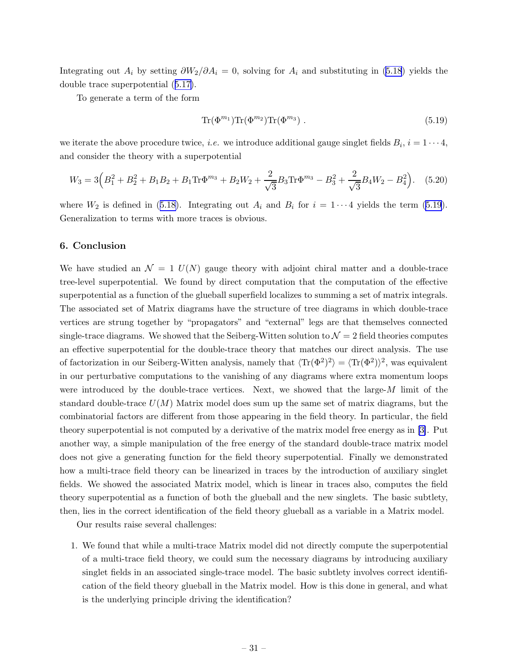<span id="page-32-0"></span>Integrating out  $A_i$  by setting  $\partial W_2/\partial A_i = 0$ , solving for  $A_i$  and substituting in [\(5.18](#page-31-0)) yields the double trace superpotential ([5.17\)](#page-31-0).

To generate a term of the form

$$
\text{Tr}(\Phi^{m_1}) \text{Tr}(\Phi^{m_2}) \text{Tr}(\Phi^{m_3}) \tag{5.19}
$$

we iterate the above procedure twice, *i.e.* we introduce additional gauge singlet fields  $B_i$ ,  $i = 1 \cdots 4$ , and consider the theory with a superpotential

$$
W_3 = 3\left(B_1^2 + B_2^2 + B_1B_2 + B_1\text{Tr}\Phi^{m_3} + B_2W_2 + \frac{2}{\sqrt{3}}B_3\text{Tr}\Phi^{m_3} - B_3^2 + \frac{2}{\sqrt{3}}B_4W_2 - B_4^2\right). \tag{5.20}
$$

where  $W_2$  is defined in ([5.18\)](#page-31-0). Integrating out  $A_i$  and  $B_i$  for  $i = 1 \cdots 4$  yields the term (5.19). Generalization to terms with more traces is obvious.

#### 6. Conclusion

We have studied an  $\mathcal{N} = 1$  U(N) gauge theory with adjoint chiral matter and a double-trace tree-level superpotential. We found by direct computation that the computation of the effective superpotential as a function of the glueball superfield localizes to summing a set of matrix integrals. The associated set of Matrix diagrams have the structure of tree diagrams in which double-trace vertices are strung together by "propagators" and "external" legs are that themselves connected single-trace diagrams. We showed that the Seiberg-Witten solution to  $\mathcal{N}=2$  field theories computes an effective superpotential for the double-trace theory that matches our direct analysis. The use of factorization in our Seiberg-Witten analysis, namely that  $\langle Tr(\Phi^2)^2 \rangle = \langle Tr(\Phi^2) \rangle^2$ , was equivalent in our perturbative computations to the vanishing of any diagrams where extra momentum loops were introduced by the double-trace vertices. Next, we showed that the large- $M$  limit of the standard double-trace  $U(M)$  Matrix model does sum up the same set of matrix diagrams, but the combinatorial factors are different from those appearing in the field theory. In particular, the field theory superpotential is not computed by a derivative of the matrix model free energy as in [\[3\]](#page-34-0). Put another way, a simple manipulation of the free energy of the standard double-trace matrix model does not give a generating function for the field theory superpotential. Finally we demonstrated how a multi-trace field theory can be linearized in traces by the introduction of auxiliary singlet fields. We showed the associated Matrix model, which is linear in traces also, computes the field theory superpotential as a function of both the glueball and the new singlets. The basic subtlety, then, lies in the correct identification of the field theory glueball as a variable in a Matrix model.

Our results raise several challenges:

1. We found that while a multi-trace Matrix model did not directly compute the superpotential of a multi-trace field theory, we could sum the necessary diagrams by introducing auxiliary singlet fields in an associated single-trace model. The basic subtlety involves correct identification of the field theory glueball in the Matrix model. How is this done in general, and what is the underlying principle driving the identification?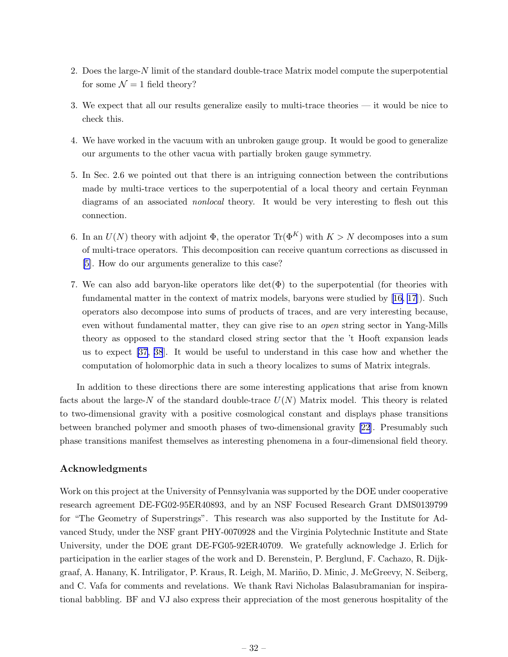- 2. Does the large- $N$  limit of the standard double-trace Matrix model compute the superpotential for some  $\mathcal{N} = 1$  field theory?
- 3. We expect that all our results generalize easily to multi-trace theories it would be nice to check this.
- 4. We have worked in the vacuum with an unbroken gauge group. It would be good to generalize our arguments to the other vacua with partially broken gauge symmetry.
- 5. In Sec. 2.6 we pointed out that there is an intriguing connection between the contributions made by multi-trace vertices to the superpotential of a local theory and certain Feynman diagrams of an associated *nonlocal* theory. It would be very interesting to flesh out this connection.
- 6. In an  $U(N)$  theory with adjoint  $\Phi$ , the operator  $\text{Tr}(\Phi^K)$  with  $K > N$  decomposes into a sum of multi-trace operators. This decomposition can receive quantum corrections as discussed in [\[5\]](#page-34-0). How do our arguments generalize to this case?
- 7. We can also add baryon-like operators like  $\det(\Phi)$  to the superpotential (for theories with fundamental matter in the context of matrix models, baryons were studied by [\[16](#page-34-0), [17](#page-34-0)]). Such operators also decompose into sums of products of traces, and are very interesting because, even without fundamental matter, they can give rise to an open string sector in Yang-Mills theory as opposed to the standard closed string sector that the 't Hooft expansion leads us to expect [\[37, 38](#page-35-0)]. It would be useful to understand in this case how and whether the computation of holomorphic data in such a theory localizes to sums of Matrix integrals.

In addition to these directions there are some interesting applications that arise from known facts about the large-N of the standard double-trace  $U(N)$  Matrix model. This theory is related to two-dimensional gravity with a positive cosmological constant and displays phase transitions between branched polymer and smooth phases of two-dimensional gravity [\[22](#page-35-0)]. Presumably such phase transitions manifest themselves as interesting phenomena in a four-dimensional field theory.

#### Acknowledgments

Work on this project at the University of Pennsylvania was supported by the DOE under cooperative research agreement DE-FG02-95ER40893, and by an NSF Focused Research Grant DMS0139799 for "The Geometry of Superstrings". This research was also supported by the Institute for Advanced Study, under the NSF grant PHY-0070928 and the Virginia Polytechnic Institute and State University, under the DOE grant DE-FG05-92ER40709. We gratefully acknowledge J. Erlich for participation in the earlier stages of the work and D. Berenstein, P. Berglund, F. Cachazo, R. Dijkgraaf, A. Hanany, K. Intriligator, P. Kraus, R. Leigh, M. Mariño, D. Minic, J. McGreevy, N. Seiberg, and C. Vafa for comments and revelations. We thank Ravi Nicholas Balasubramanian for inspirational babbling. BF and VJ also express their appreciation of the most generous hospitality of the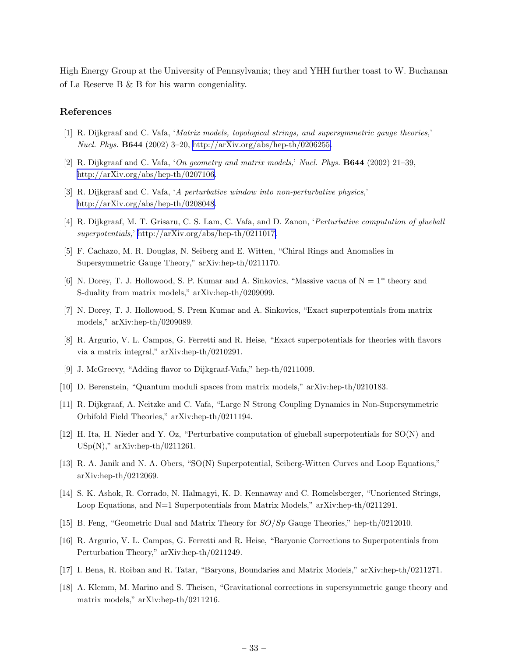<span id="page-34-0"></span>High Energy Group at the University of Pennsylvania; they and YHH further toast to W. Buchanan of La Reserve B & B for his warm congeniality.

#### References

- [1] R. Dijkgraaf and C. Vafa, 'Matrix models, topological strings, and supersymmetric gauge theories,' Nucl. Phys. B644 (2002) 3–20, [http://arXiv.org/abs/hep-th/0206255.](http://xxx.lanl.gov/abs/http://arXiv.org/abs/hep-th/0206255)
- [2] R. Dijkgraaf and C. Vafa, 'On geometry and matrix models,' Nucl. Phys. B644 (2002) 21–39, [http://arXiv.org/abs/hep-th/0207106](http://xxx.lanl.gov/abs/http://arXiv.org/abs/hep-th/0207106).
- [3] R. Dijkgraaf and C. Vafa, 'A perturbative window into non-perturbative physics,' [http://arXiv.org/abs/hep-th/0208048](http://xxx.lanl.gov/abs/http://arXiv.org/abs/hep-th/0208048).
- [4] R. Dijkgraaf, M. T. Grisaru, C. S. Lam, C. Vafa, and D. Zanon, 'Perturbative computation of glueball superpotentials,' [http://arXiv.org/abs/hep-th/0211017.](http://xxx.lanl.gov/abs/http://arXiv.org/abs/hep-th/0211017)
- [5] F. Cachazo, M. R. Douglas, N. Seiberg and E. Witten, "Chiral Rings and Anomalies in Supersymmetric Gauge Theory," arXiv:hep-th/0211170.
- [6] N. Dorey, T. J. Hollowood, S. P. Kumar and A. Sinkovics, "Massive vacua of  $N = 1$ " theory and S-duality from matrix models," arXiv:hep-th/0209099.
- [7] N. Dorey, T. J. Hollowood, S. Prem Kumar and A. Sinkovics, "Exact superpotentials from matrix models," arXiv:hep-th/0209089.
- [8] R. Argurio, V. L. Campos, G. Ferretti and R. Heise, "Exact superpotentials for theories with flavors via a matrix integral," arXiv:hep-th/0210291.
- [9] J. McGreevy, "Adding flavor to Dijkgraaf-Vafa," hep-th/0211009.
- [10] D. Berenstein, "Quantum moduli spaces from matrix models," arXiv:hep-th/0210183.
- [11] R. Dijkgraaf, A. Neitzke and C. Vafa, "Large N Strong Coupling Dynamics in Non-Supersymmetric Orbifold Field Theories," arXiv:hep-th/0211194.
- [12] H. Ita, H. Nieder and Y. Oz, "Perturbative computation of glueball superpotentials for SO(N) and  $USp(N)$ ," arXiv:hep-th/0211261.
- [13] R. A. Janik and N. A. Obers, "SO(N) Superpotential, Seiberg-Witten Curves and Loop Equations," arXiv:hep-th/0212069.
- [14] S. K. Ashok, R. Corrado, N. Halmagyi, K. D. Kennaway and C. Romelsberger, "Unoriented Strings, Loop Equations, and N=1 Superpotentials from Matrix Models," arXiv:hep-th/0211291.
- [15] B. Feng, "Geometric Dual and Matrix Theory for SO/Sp Gauge Theories," hep-th/0212010.
- [16] R. Argurio, V. L. Campos, G. Ferretti and R. Heise, "Baryonic Corrections to Superpotentials from Perturbation Theory," arXiv:hep-th/0211249.
- [17] I. Bena, R. Roiban and R. Tatar, "Baryons, Boundaries and Matrix Models," arXiv:hep-th/0211271.
- [18] A. Klemm, M. Marino and S. Theisen, "Gravitational corrections in supersymmetric gauge theory and matrix models," arXiv:hep-th/0211216.